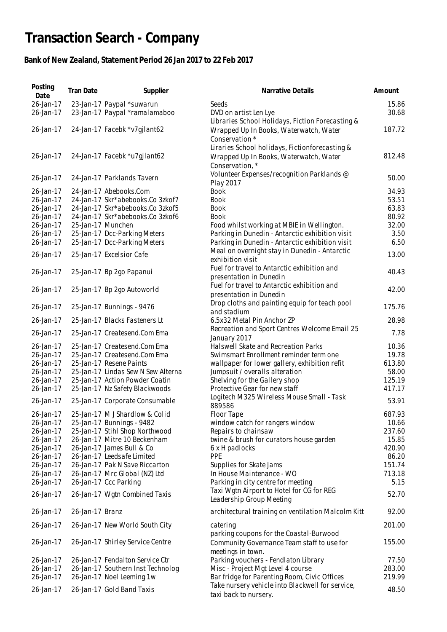## **Transaction Search - Company**

## **Bank of New Zealand, Statement Period 26 Jan 2017 to 22 Feb 2017**

| Posting<br>Date | Tran Date       | Supplier                           | Narrative Details                                                                                            | Amount |
|-----------------|-----------------|------------------------------------|--------------------------------------------------------------------------------------------------------------|--------|
| 26-Jan-17       |                 | 23-Jan-17 Paypal *suwarun          | Seeds                                                                                                        | 15.86  |
| 26-Jan-17       |                 | 23-Jan-17 Paypal *ramalamaboo      | DVD on artist Len Lye                                                                                        | 30.68  |
| 26-Jan-17       |                 | 24-Jan-17 Facebk *v7gjlant62       | Libraries School Holidays, Fiction Forecasting &<br>Wrapped Up In Books, Waterwatch, Water<br>Conservation * | 187.72 |
| 26-Jan-17       |                 | 24-Jan-17 Facebk *u7gjlant62       | Liraries School holidays, Fictionforecasting &<br>Wrapped Up In Books, Waterwatch, Water<br>Conservation, *  | 812.48 |
| 26-Jan-17       |                 | 24-Jan-17 Parklands Tavern         | Volunteer Expenses/recognition Parklands @<br>Play 2017                                                      | 50.00  |
| 26-Jan-17       |                 | 24-Jan-17 Abebooks.Com             | <b>Book</b>                                                                                                  | 34.93  |
| 26-Jan-17       |                 | 24-Jan-17 Skr*abebooks.Co 3zkof7   | <b>Book</b>                                                                                                  | 53.51  |
| 26-Jan-17       |                 | 24-Jan-17 Skr*abebooks.Co 3zkof5   | <b>Book</b>                                                                                                  | 63.83  |
| 26-Jan-17       |                 | 24-Jan-17 Skr*abebooks.Co 3zkof6   | <b>Book</b>                                                                                                  | 80.92  |
| 26-Jan-17       |                 | 25-Jan-17 Munchen                  | Food whilst working at MBIE in Wellington.                                                                   | 32.00  |
| 26-Jan-17       |                 | 25-Jan-17 Dcc-Parking Meters       | Parking in Dunedin - Antarctic exhibition visit                                                              | 3.50   |
| 26-Jan-17       |                 | 25-Jan-17 Dcc-Parking Meters       | Parking in Dunedin - Antarctic exhibition visit                                                              | 6.50   |
| 26-Jan-17       |                 | 25-Jan-17 Excelsior Cafe           | Meal on overnight stay in Dunedin - Antarctic                                                                | 13.00  |
| 26-Jan-17       |                 |                                    | exhibition visit<br>Fuel for travel to Antarctic exhibition and                                              | 40.43  |
|                 |                 | 25-Jan-17 Bp 2go Papanui           | presentation in Dunedin<br>Fuel for travel to Antarctic exhibition and                                       |        |
| 26-Jan-17       |                 | 25-Jan-17 Bp 2go Autoworld         | presentation in Dunedin                                                                                      | 42.00  |
| 26-Jan-17       |                 | 25-Jan-17 Bunnings - 9476          | Drop cloths and painting equip for teach pool<br>and stadium                                                 | 175.76 |
| 26-Jan-17       |                 | 25-Jan-17 Blacks Fasteners Lt      | 6.5x32 Metal Pin Anchor ZP                                                                                   | 28.98  |
| 26-Jan-17       |                 | 25-Jan-17 Createsend.Com Ema       | Recreation and Sport Centres Welcome Email 25<br>January 2017                                                | 7.78   |
| 26-Jan-17       |                 | 25-Jan-17 Createsend.Com Ema       | Halswell Skate and Recreation Parks                                                                          | 10.36  |
| 26-Jan-17       |                 | 25-Jan-17 Createsend.Com Ema       | Swimsmart Enrollment reminder term one                                                                       | 19.78  |
| 26-Jan-17       |                 | 25-Jan-17 Resene Paints            | wallpaper for lower gallery, exhibition refit                                                                | 613.80 |
| 26-Jan-17       |                 | 25-Jan-17 Lindas Sew N Sew Alterna | Jumpsuit / overalls alteration                                                                               | 58.00  |
| 26-Jan-17       |                 | 25-Jan-17 Action Powder Coatin     | Shelving for the Gallery shop                                                                                | 125.19 |
| 26-Jan-17       |                 | 25-Jan-17 Nz Safety Blackwoods     | Protective Gear for new staff<br>Logitech M325 Wireless Mouse Small - Task                                   | 417.17 |
| 26-Jan-17       |                 | 25-Jan-17 Corporate Consumable     | 889586                                                                                                       | 53.91  |
| 26-Jan-17       |                 | 25-Jan-17 M J Shardlow & Colid     | Floor Tape                                                                                                   | 687.93 |
| 26-Jan-17       |                 | 25-Jan-17 Bunnings - 9482          | window catch for rangers window                                                                              | 10.66  |
| 26-Jan-17       |                 | 25-Jan-17 Stihl Shop Northwood     | Repairs to chainsaw                                                                                          | 237.60 |
| 26-Jan-17       |                 | 26-Jan-17 Mitre 10 Beckenham       | twine & brush for curators house garden                                                                      | 15.85  |
| 26-Jan-17       |                 | 26-Jan-17 James Bull & Co          | 6 x H padlocks                                                                                               | 420.90 |
| 26-Jan-17       |                 | 26-Jan-17 Leedsafe Limited         | PPE                                                                                                          | 86.20  |
| 26-Jan-17       |                 | 26-Jan-17 Pak N Save Riccarton     | Supplies for Skate Jams                                                                                      | 151.74 |
| 26-Jan-17       |                 | 26-Jan-17 Mrc Global (NZ) Ltd      | In House Maintenance - WO                                                                                    | 713.18 |
| 26-Jan-17       |                 | 26-Jan-17 Ccc Parking              | Parking in city centre for meeting                                                                           | 5.15   |
| 26-Jan-17       |                 | 26-Jan-17 Wgtn Combined Taxis      | Taxi Wgtn Airport to Hotel for CG for REG<br>Leadership Group Meeting                                        | 52.70  |
| 26-Jan-17       | 26-Jan-17 Branz |                                    | architectural training on ventilation Malcolm Kitt                                                           | 92.00  |
| 26-Jan-17       |                 | 26-Jan-17 New World South City     | catering                                                                                                     | 201.00 |
| 26-Jan-17       |                 | 26-Jan-17 Shirley Service Centre   | parking coupons for the Coastal-Burwood<br>Community Governance Team staff to use for                        | 155.00 |
| 26-Jan-17       |                 | 26-Jan-17 Fendalton Service Ctr    | meetings in town.<br>Parking vouchers - Fendlaton Library                                                    | 77.50  |
| 26-Jan-17       |                 | 26-Jan-17 Southern Inst Technolog  | Misc - Project Mgt Level 4 course                                                                            | 283.00 |
| 26-Jan-17       |                 | 26-Jan-17 Noel Leeming 1w          | Bar fridge for Parenting Room, Civic Offices                                                                 | 219.99 |
| 26-Jan-17       |                 | 26-Jan-17 Gold Band Taxis          | Take nursery vehicle into Blackwell for service,                                                             | 48.50  |
|                 |                 |                                    | taxi back to nursery.                                                                                        |        |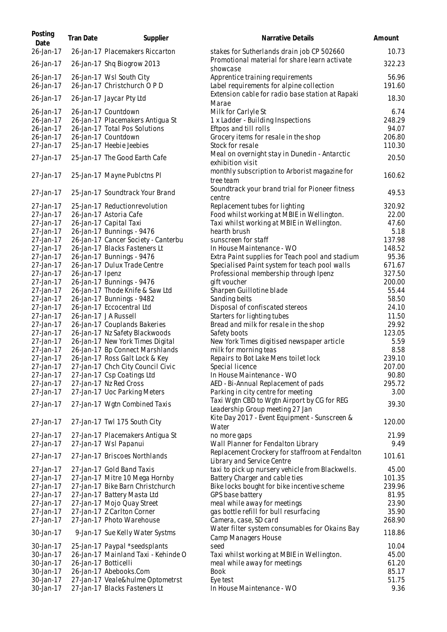| Posting<br>Date        | <b>Tran Date</b>     | Supplier                                                         | Narrative Details                                                                                                               | Amount           |
|------------------------|----------------------|------------------------------------------------------------------|---------------------------------------------------------------------------------------------------------------------------------|------------------|
| 26-Jan-17              |                      | 26-Jan-17 Placemakers Riccarton                                  | stakes for Sutherlands drain job CP 502660                                                                                      | 10.73            |
| 26-Jan-17              |                      | 26-Jan-17 Shq Biogrow 2013                                       | Promotional material for share learn activate<br>showcase                                                                       | 322.23           |
| 26-Jan-17              |                      | 26-Jan-17 Wsl South City                                         | Apprentice training requirements                                                                                                | 56.96            |
| 26-Jan-17<br>26-Jan-17 |                      | 26-Jan-17 Christchurch O P D<br>26-Jan-17 Jaycar Pty Ltd         | Label requirements for alpine collection<br>Extension cable for radio base station at Rapaki                                    | 191.60<br>18.30  |
| 26-Jan-17              |                      | 26-Jan-17 Countdown                                              | Marae<br>Milk for Carlyle St                                                                                                    | 6.74             |
| 26-Jan-17              |                      | 26-Jan-17 Placemakers Antiqua St                                 | 1 x Ladder - Building Inspections                                                                                               | 248.29           |
| 26-Jan-17              |                      | 26-Jan-17 Total Pos Solutions                                    | Eftpos and till rolls                                                                                                           | 94.07            |
| 26-Jan-17<br>27-Jan-17 |                      | 26-Jan-17 Countdown<br>25-Jan-17 Heebie Jeebies                  | Grocery items for resale in the shop<br>Stock for resale                                                                        | 206.80<br>110.30 |
| 27-Jan-17              |                      | 25-Jan-17 The Good Earth Cafe                                    | Meal on overnight stay in Dunedin - Antarctic<br>exhibition visit                                                               | 20.50            |
| 27-Jan-17              |                      | 25-Jan-17 Mayne Publctns Pl                                      | monthly subscription to Arborist magazine for<br>tree team                                                                      | 160.62           |
| 27-Jan-17              |                      | 25-Jan-17 Soundtrack Your Brand                                  | Soundtrack your brand trial for Pioneer fitness<br>centre                                                                       | 49.53            |
| 27-Jan-17              |                      | 25-Jan-17 Reductionrevolution                                    | Replacement tubes for lighting                                                                                                  | 320.92           |
| 27-Jan-17              |                      | 26-Jan-17 Astoria Cafe                                           | Food whilst working at MBIE in Wellington.                                                                                      | 22.00            |
| 27-Jan-17              |                      | 26-Jan-17 Capital Taxi                                           | Taxi whilst working at MBIE in Wellington.                                                                                      | 47.60            |
| 27-Jan-17<br>27-Jan-17 |                      | 26-Jan-17 Bunnings - 9476<br>26-Jan-17 Cancer Society - Canterbu | hearth brush<br>sunscreen for staff                                                                                             | 5.18<br>137.98   |
| 27-Jan-17              |                      | 26-Jan-17 Blacks Fasteners Lt                                    | In House Maintenance - WO                                                                                                       | 148.52           |
| 27-Jan-17              |                      | 26-Jan-17 Bunnings - 9476                                        | Extra Paint supplies for Teach pool and stadium                                                                                 | 95.36            |
| 27-Jan-17              |                      | 26-Jan-17 Dulux Trade Centre                                     | Specialised Paint system for teach pool walls                                                                                   | 671.67           |
| 27-Jan-17              | 26-Jan-17 Ipenz      |                                                                  | Professional membership through Ipenz                                                                                           | 327.50           |
| 27-Jan-17              |                      | 26-Jan-17 Bunnings - 9476                                        | gift voucher                                                                                                                    | 200.00           |
| 27-Jan-17              |                      | 26-Jan-17 Thode Knife & Saw Ltd                                  | Sharpen Guillotine blade                                                                                                        | 55.44            |
| 27-Jan-17              |                      | 26-Jan-17 Bunnings - 9482                                        | Sanding belts                                                                                                                   | 58.50            |
| 27-Jan-17              |                      | 26-Jan-17 Eccocentral Ltd                                        | Disposal of confiscated stereos                                                                                                 | 24.10            |
| 27-Jan-17              |                      | 26-Jan-17 JA Russell                                             | Starters for lighting tubes                                                                                                     | 11.50            |
| 27-Jan-17<br>27-Jan-17 |                      | 26-Jan-17 Couplands Bakeries<br>26-Jan-17 Nz Safety Blackwoods   | Bread and milk for resale in the shop<br>Safety boots                                                                           | 29.92<br>123.05  |
| 27-Jan-17              |                      | 26-Jan-17 New York Times Digital                                 | New York Times digitised newspaper article                                                                                      | 5.59             |
| 27-Jan-17              |                      | 26-Jan-17 Bp Connect Marshlands                                  | milk for morning teas                                                                                                           | 8.58             |
| 27-Jan-17              |                      | 26-Jan-17 Ross Galt Lock & Key                                   | Repairs to Bot Lake Mens toilet lock                                                                                            | 239.10           |
| 27-Jan-17              |                      | 27-Jan-17 Chch City Council Civic                                | Special licence                                                                                                                 | 207.00           |
| 27-Jan-17              |                      | 27-Jan-17 Csp Coatings Ltd                                       | In House Maintenance - WO                                                                                                       | 90.80            |
| 27-Jan-17              |                      | 27-Jan-17 Nz Red Cross                                           | AED - Bi-Annual Replacement of pads                                                                                             | 295.72           |
| 27-Jan-17              |                      | 27-Jan-17 Uoc Parking Meters                                     | Parking in city centre for meeting                                                                                              | 3.00             |
| 27-Jan-17              |                      | 27-Jan-17 Wgtn Combined Taxis                                    | Taxi Wgtn CBD to Wgtn Airport by CG for REG<br>Leadership Group meeting 27 Jan<br>Kite Day 2017 - Event Equipment - Sunscreen & | 39.30            |
| 27-Jan-17              |                      | 27-Jan-17 Twl 175 South City                                     | Water                                                                                                                           | 120.00           |
| 27-Jan-17              |                      | 27-Jan-17 Placemakers Antigua St                                 | no more gaps                                                                                                                    | 21.99            |
| 27-Jan-17              |                      | 27-Jan-17 Wsl Papanui                                            | Wall Planner for Fendalton Library<br>Replacement Crockery for staffroom at Fendalton                                           | 9.49             |
| 27-Jan-17              |                      | 27-Jan-17 Briscoes Northlands                                    | Library and Service Centre                                                                                                      | 101.61           |
| 27-Jan-17              |                      | 27-Jan-17 Gold Band Taxis<br>27-Jan-17 Mitre 10 Mega Hornby      | taxi to pick up nursery vehicle from Blackwells.                                                                                | 45.00            |
| 27-Jan-17<br>27-Jan-17 |                      | 27-Jan-17 Bike Barn Christchurch                                 | Battery Charger and cable ties<br>Bike locks bought for bike incentive scheme                                                   | 101.35<br>239.96 |
| 27-Jan-17              |                      | 27-Jan-17 Battery Masta Ltd                                      | GPS base battery                                                                                                                | 81.95            |
| 27-Jan-17              |                      | 27-Jan-17 Mojo Quay Street                                       | meal while away for meetings                                                                                                    | 23.90            |
| 27-Jan-17              |                      | 27-Jan-17 Z Carlton Corner                                       | gas bottle refill for bull resurfacing                                                                                          | 35.90            |
| 27-Jan-17              |                      | 27-Jan-17 Photo Warehouse                                        | Camera, case, SD card                                                                                                           | 268.90           |
| 30-Jan-17              |                      | 9-Jan-17 Sue Kelly Water Systms                                  | Water filter system consumables for Okains Bay<br><b>Camp Managers House</b>                                                    | 118.86           |
| 30-Jan-17              |                      | 25-Jan-17 Paypal *seedsplants                                    | seed                                                                                                                            | 10.04            |
| 30-Jan-17              |                      | 26-Jan-17 Mainland Taxi - Kehinde O                              | Taxi whilst working at MBIE in Wellington.                                                                                      | 45.00            |
| 30-Jan-17              | 26-Jan-17 Botticelli |                                                                  | meal while away for meetings                                                                                                    | 61.20            |
| 30-Jan-17              |                      | 26-Jan-17 Abebooks.Com                                           | <b>Book</b>                                                                                                                     | 85.17            |
| 30-Jan-17              |                      | 27-Jan-17 Veale&hulme Optometrst                                 | Eye test                                                                                                                        | 51.75            |
| 30-Jan-17              |                      | 27-Jan-17 Blacks Fasteners Lt                                    | In House Maintenance - WO                                                                                                       | 9.36             |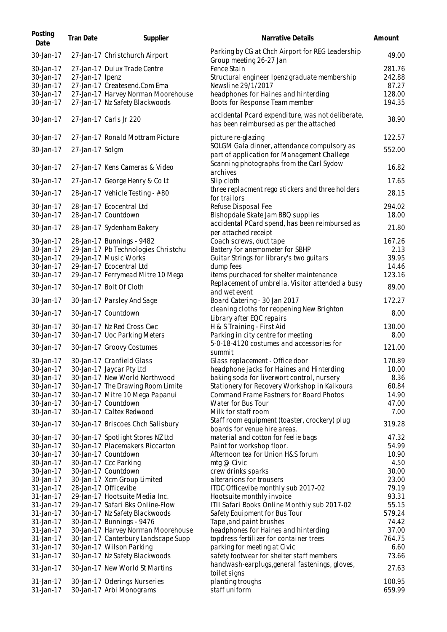| Posting<br>Date | <b>Tran Date</b> | Supplier                            | Narrative Details                                                                            | Amount |
|-----------------|------------------|-------------------------------------|----------------------------------------------------------------------------------------------|--------|
| 30-Jan-17       |                  | 27-Jan-17 Christchurch Airport      | Parking by CG at Chch Airport for REG Leadership<br>Group meeting 26-27 Jan                  | 49.00  |
| 30-Jan-17       |                  | 27-Jan-17 Dulux Trade Centre        | Fence Stain                                                                                  | 281.76 |
| 30-Jan-17       | 27-Jan-17 Ipenz  |                                     | Structural engineer Ipenz graduate membership                                                | 242.88 |
| 30-Jan-17       |                  | 27-Jan-17 Createsend.Com Ema        | Newsline 29/1/2017                                                                           | 87.27  |
| 30-Jan-17       |                  | 27-Jan-17 Harvey Norman Moorehouse  | headphones for Haines and hinterding                                                         | 128.00 |
| 30-Jan-17       |                  | 27-Jan-17 Nz Safety Blackwoods      | Boots for Response Team member                                                               | 194.35 |
| 30-Jan-17       |                  | 27-Jan-17 Carls Jr 220              | accidental Pcard expenditure, was not deliberate,<br>has been reimbursed as per the attached | 38.90  |
| 30-Jan-17       |                  | 27-Jan-17 Ronald Mottram Picture    | picture re-glazing                                                                           | 122.57 |
| 30-Jan-17       | 27-Jan-17 Solgm  |                                     | SOLGM Gala dinner, attendance compulsory as<br>part of application for Management Challege   | 552.00 |
| 30-Jan-17       |                  | 27-Jan-17 Kens Cameras & Video      | Scanning photographs from the Carl Sydow<br>archives                                         | 16.82  |
| 30-Jan-17       |                  | 27-Jan-17 George Henry & Co Lt      | Slip cloth                                                                                   | 17.65  |
| 30-Jan-17       |                  | 28-Jan-17 Vehicle Testing - #80     | three replacment rego stickers and three holders<br>for trailors                             | 28.15  |
| 30-Jan-17       |                  | 28-Jan-17 Ecocentral Ltd            | Refuse Disposal Fee                                                                          | 294.02 |
| 30-Jan-17       |                  | 28-Jan-17 Countdown                 | Bishopdale Skate Jam BBQ supplies                                                            | 18.00  |
| 30-Jan-17       |                  | 28-Jan-17 Sydenham Bakery           | accidental PCard spend, has been reimbursed as<br>per attached receipt                       | 21.80  |
| 30-Jan-17       |                  | 28-Jan-17 Bunnings - 9482           | Coach screws, duct tape                                                                      | 167.26 |
| 30-Jan-17       |                  | 29-Jan-17 Pb Technologies Christchu | Battery for anemometer for SBHP                                                              | 2.13   |
| 30-Jan-17       |                  | 29-Jan-17 Music Works               | Guitar Strings for library's two guitars                                                     | 39.95  |
| 30-Jan-17       |                  | 29-Jan-17 Ecocentral Ltd            | dump fees                                                                                    | 14.46  |
| 30-Jan-17       |                  | 29-Jan-17 Ferrymead Mitre 10 Mega   | items purchaced for shelter maintenance                                                      | 123.16 |
| 30-Jan-17       |                  | 30-Jan-17 Bolt Of Cloth             | Replacement of umbrella. Visitor attended a busy                                             | 89.00  |
| 30-Jan-17       |                  | 30-Jan-17 Parsley And Sage          | and wet event<br>Board Catering - 30 Jan 2017                                                | 172.27 |
| 30-Jan-17       |                  | 30-Jan-17 Countdown                 | cleaning cloths for reopening New Brighton<br>Library after EQC repairs                      | 8.00   |
| 30-Jan-17       |                  | 30-Jan-17 Nz Red Cross Cwc          | H & S Training - First Aid                                                                   | 130.00 |
| 30-Jan-17       |                  | 30-Jan-17 Uoc Parking Meters        | Parking in city centre for meeting                                                           | 8.00   |
| 30-Jan-17       |                  | 30-Jan-17 Groovy Costumes           | 5-0-18-4120 costumes and accessories for                                                     | 121.00 |
|                 |                  |                                     | summit                                                                                       |        |
| 30-Jan-17       |                  | 30-Jan-17 Cranfield Glass           | Glass replacement - Office door                                                              | 170.89 |
| 30-Jan-17       |                  | 30-Jan-17 Jaycar Pty Ltd            | headphone jacks for Haines and Hinterding                                                    | 10.00  |
| 30-Jan-17       |                  | 30-Jan-17 New World Northwood       | baking soda for liverwort control, nursery                                                   | 8.36   |
| 30-Jan-17       |                  | 30-Jan-17 The Drawing Room Limite   | Stationery for Recovery Workshop in Kaikoura                                                 | 60.84  |
| 30-Jan-17       |                  | 30-Jan-17 Mitre 10 Mega Papanui     | Command Frame Fastners for Board Photos                                                      | 14.90  |
| 30-Jan-17       |                  | 30-Jan-17 Countdown                 | Water for Bus Tour                                                                           | 47.00  |
| 30-Jan-17       |                  | 30-Jan-17 Caltex Redwood            | Milk for staff room                                                                          | 7.00   |
| 30-Jan-17       |                  | 30-Jan-17 Briscoes Chch Salisbury   | Staff room equipment (toaster, crockery) plug<br>boards for venue hire areas.                | 319.28 |
| 30-Jan-17       |                  | 30-Jan-17 Spotlight Stores NZ Ltd   | material and cotton for feelie bags                                                          | 47.32  |
| 30-Jan-17       |                  | 30-Jan-17 Placemakers Riccarton     | Paint for workshop floor.                                                                    | 54.99  |
| 30-Jan-17       |                  | 30-Jan-17 Countdown                 | Afternoon tea for Union H&S forum                                                            | 10.90  |
| 30-Jan-17       |                  | 30-Jan-17 Ccc Parking               | mtg $@$ Civic                                                                                | 4.50   |
| 30-Jan-17       |                  | 30-Jan-17 Countdown                 | crew drinks sparks                                                                           | 30.00  |
| 30-Jan-17       |                  | 30-Jan-17 Xcm Group Limited         | alterarions for trousers                                                                     | 23.00  |
| 31-Jan-17       |                  | 28-Jan-17 Officevibe                | ITDC Officevibe monthly sub 2017-02                                                          | 79.19  |
| 31-Jan-17       |                  | 29-Jan-17 Hootsuite Media Inc.      | Hootsuite monthly invoice                                                                    | 93.31  |
| 31-Jan-17       |                  | 29-Jan-17 Safari Bks Online-Flow    | ITII Safari Books Online Monthly sub 2017-02                                                 | 55.15  |
| 31-Jan-17       |                  | 30-Jan-17 Nz Safety Blackwoods      | Safety Equipment for Bus Tour                                                                | 579.24 |
| 31-Jan-17       |                  | 30-Jan-17 Bunnings - 9476           | Tape, and paint brushes                                                                      | 74.42  |
| 31-Jan-17       |                  | 30-Jan-17 Harvey Norman Moorehouse  | headphones for Haines and hinterding                                                         | 37.00  |
| 31-Jan-17       |                  | 30-Jan-17 Canterbury Landscape Supp | topdress fertilizer for container trees                                                      | 764.75 |
| 31-Jan-17       |                  | 30-Jan-17 Wilson Parking            | parking for meeting at Civic                                                                 | 6.60   |
| 31-Jan-17       |                  | 30-Jan-17 Nz Safety Blackwoods      | safety footwear for shelter staff members                                                    | 73.66  |
| 31-Jan-17       |                  | 30-Jan-17 New World St Martins      | handwash-earplugs, general fastenings, gloves,<br>toilet signs                               | 27.63  |
| 31-Jan-17       |                  | 30-Jan-17 Oderings Nurseries        | planting troughs                                                                             | 100.95 |
| 31-Jan-17       |                  | 30-Jan-17 Arbi Monograms            | staff uniform                                                                                | 659.99 |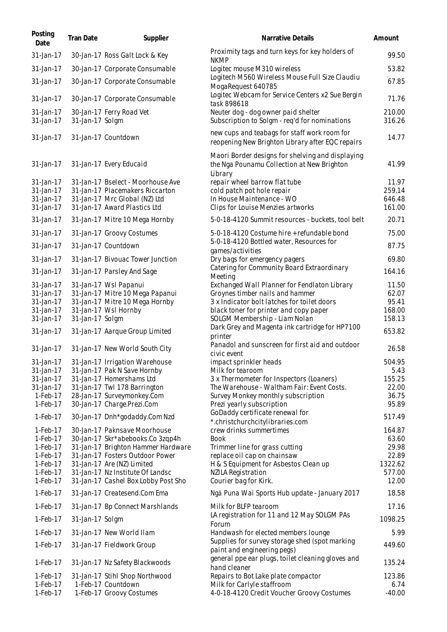| Posting<br>Date                                                                                                                                                                                                                                                             | <b>Tran Date</b> | Supplier                                                                                                                                                                                                                                                                                                                                                                                                                                                                                                                                                                                                                        | Narrative Details                                                                                                                                                                                                                                                                                                                                                                                                                                                                                                                                                                                                                                                                                                                                                                                          | Amount                                                                                                                                                                                             |
|-----------------------------------------------------------------------------------------------------------------------------------------------------------------------------------------------------------------------------------------------------------------------------|------------------|---------------------------------------------------------------------------------------------------------------------------------------------------------------------------------------------------------------------------------------------------------------------------------------------------------------------------------------------------------------------------------------------------------------------------------------------------------------------------------------------------------------------------------------------------------------------------------------------------------------------------------|------------------------------------------------------------------------------------------------------------------------------------------------------------------------------------------------------------------------------------------------------------------------------------------------------------------------------------------------------------------------------------------------------------------------------------------------------------------------------------------------------------------------------------------------------------------------------------------------------------------------------------------------------------------------------------------------------------------------------------------------------------------------------------------------------------|----------------------------------------------------------------------------------------------------------------------------------------------------------------------------------------------------|
| 31-Jan-17                                                                                                                                                                                                                                                                   |                  | 30-Jan-17 Ross Galt Lock & Key                                                                                                                                                                                                                                                                                                                                                                                                                                                                                                                                                                                                  | Proximity tags and turn keys for key holders of<br><b>NKMP</b>                                                                                                                                                                                                                                                                                                                                                                                                                                                                                                                                                                                                                                                                                                                                             | 99.50                                                                                                                                                                                              |
| 31-Jan-17                                                                                                                                                                                                                                                                   |                  | 30-Jan-17 Corporate Consumable                                                                                                                                                                                                                                                                                                                                                                                                                                                                                                                                                                                                  | Logitec mouse M310 wireless                                                                                                                                                                                                                                                                                                                                                                                                                                                                                                                                                                                                                                                                                                                                                                                | 53.82                                                                                                                                                                                              |
| 31-Jan-17                                                                                                                                                                                                                                                                   |                  | 30-Jan-17 Corporate Consumable                                                                                                                                                                                                                                                                                                                                                                                                                                                                                                                                                                                                  | Logitech M560 Wireless Mouse Full Size Claudiu<br>MogaRequest 640785                                                                                                                                                                                                                                                                                                                                                                                                                                                                                                                                                                                                                                                                                                                                       | 67.85                                                                                                                                                                                              |
| 31-Jan-17                                                                                                                                                                                                                                                                   |                  | 30-Jan-17 Corporate Consumable                                                                                                                                                                                                                                                                                                                                                                                                                                                                                                                                                                                                  | Logitec Webcam for Service Centers x2 Sue Bergin<br>task 898618                                                                                                                                                                                                                                                                                                                                                                                                                                                                                                                                                                                                                                                                                                                                            | 71.76                                                                                                                                                                                              |
| 31-Jan-17<br>31-Jan-17                                                                                                                                                                                                                                                      | 31-Jan-17 Solgm  | 30-Jan-17 Ferry Road Vet                                                                                                                                                                                                                                                                                                                                                                                                                                                                                                                                                                                                        | Neuter dog - dog owner paid shelter<br>Subscription to Solgm - req'd for nominations                                                                                                                                                                                                                                                                                                                                                                                                                                                                                                                                                                                                                                                                                                                       | 210.00<br>316.26                                                                                                                                                                                   |
| 31-Jan-17                                                                                                                                                                                                                                                                   |                  | 31-Jan-17 Countdown                                                                                                                                                                                                                                                                                                                                                                                                                                                                                                                                                                                                             | new cups and teabags for staff work room for<br>reopening New Brighton Library after EQC repairs                                                                                                                                                                                                                                                                                                                                                                                                                                                                                                                                                                                                                                                                                                           | 14.77                                                                                                                                                                                              |
| 31-Jan-17                                                                                                                                                                                                                                                                   |                  | 31-Jan-17 Every Educaid                                                                                                                                                                                                                                                                                                                                                                                                                                                                                                                                                                                                         | Maori Border designs for shelving and displaying<br>the Nga Pounamu Collection at New Brighton<br>Library                                                                                                                                                                                                                                                                                                                                                                                                                                                                                                                                                                                                                                                                                                  | 41.99                                                                                                                                                                                              |
| 31-Jan-17<br>31-Jan-17<br>31-Jan-17<br>31-Jan-17                                                                                                                                                                                                                            |                  | 31-Jan-17 Bselect - Moorhouse Ave<br>31-Jan-17 Placemakers Riccarton<br>31-Jan-17 Mrc Global (NZ) Ltd<br>31-Jan-17 Award Plastics Ltd                                                                                                                                                                                                                                                                                                                                                                                                                                                                                           | repair wheel barrow flat tube<br>cold patch pot hole repair<br>In House Maintenance - WO<br>Clips for Louise Menzies artworks                                                                                                                                                                                                                                                                                                                                                                                                                                                                                                                                                                                                                                                                              | 11.97<br>259.14<br>646.48<br>161.00                                                                                                                                                                |
| 31-Jan-17                                                                                                                                                                                                                                                                   |                  | 31-Jan-17 Mitre 10 Mega Hornby                                                                                                                                                                                                                                                                                                                                                                                                                                                                                                                                                                                                  | 5-0-18-4120 Summit resources - buckets, tool belt                                                                                                                                                                                                                                                                                                                                                                                                                                                                                                                                                                                                                                                                                                                                                          | 20.71                                                                                                                                                                                              |
| 31-Jan-17                                                                                                                                                                                                                                                                   |                  | 31-Jan-17 Groovy Costumes                                                                                                                                                                                                                                                                                                                                                                                                                                                                                                                                                                                                       | 5-0-18-4120 Costume hire + refundable bond                                                                                                                                                                                                                                                                                                                                                                                                                                                                                                                                                                                                                                                                                                                                                                 | 75.00                                                                                                                                                                                              |
| 31-Jan-17                                                                                                                                                                                                                                                                   |                  | 31-Jan-17 Countdown                                                                                                                                                                                                                                                                                                                                                                                                                                                                                                                                                                                                             | 5-0-18-4120 Bottled water, Resources for<br>games/activities                                                                                                                                                                                                                                                                                                                                                                                                                                                                                                                                                                                                                                                                                                                                               | 87.75                                                                                                                                                                                              |
| 31-Jan-17                                                                                                                                                                                                                                                                   |                  | 31-Jan-17 Bivouac Tower Junction                                                                                                                                                                                                                                                                                                                                                                                                                                                                                                                                                                                                | Dry bags for emergency pagers                                                                                                                                                                                                                                                                                                                                                                                                                                                                                                                                                                                                                                                                                                                                                                              | 69.80                                                                                                                                                                                              |
| 31-Jan-17                                                                                                                                                                                                                                                                   |                  | 31-Jan-17 Parsley And Sage                                                                                                                                                                                                                                                                                                                                                                                                                                                                                                                                                                                                      | Catering for Community Board Extraordinary<br>Meeting                                                                                                                                                                                                                                                                                                                                                                                                                                                                                                                                                                                                                                                                                                                                                      | 164.16                                                                                                                                                                                             |
| 31-Jan-17<br>31-Jan-17<br>31-Jan-17<br>31-Jan-17<br>31-Jan-17<br>31-Jan-17<br>31-Jan-17<br>31-Jan-17<br>31-Jan-17<br>31-Jan-17<br>31-Jan-17<br>1-Feb-17<br>1-Feb-17<br>1-Feb-17<br>1-Feb-17<br>$1-Feb-17$<br>$1-Feb-17$<br>$1-Feb-17$<br>$1-Feb-17$<br>1-Feb-17<br>1-Feb-17 | 31-Jan-17 Solgm  | 31-Jan-17 Wsl Papanui<br>31-Jan-17 Mitre 10 Mega Papanui<br>31-Jan-17 Mitre 10 Mega Hornby<br>31-Jan-17 Wsl Hornby<br>31-Jan-17 Aarque Group Limited<br>31-Jan-17 New World South City<br>31-Jan-17 Irrigation Warehouse<br>31-Jan-17 Pak N Save Hornby<br>31-Jan-17 Homershams Ltd<br>31-Jan-17 Twl 178 Barrington<br>28-Jan-17 Surveymonkey.Com<br>30-Jan-17 Charge.Prezi.Com<br>30-Jan-17 Dnh*godaddy.Com Nzd<br>30-Jan-17 Paknsave Moorhouse<br>30-Jan-17 Skr*abebooks.Co 3zqp4h<br>31-Jan-17 Brighton Hammer Hardware<br>31-Jan-17 Fosters Outdoor Power<br>31-Jan-17 Are (NZ) Limited<br>31-Jan-17 Nz Institute Of Landsc | Exchanged Wall Planner for Fendlaton Library<br>Groynes timber nails and hammer<br>3 x Indicator bolt latches for toilet doors<br>black toner for printer and copy paper<br>SOLGM Membership - Liam Nolan<br>Dark Grey and Magenta ink cartridge for HP7100<br>printer<br>Panadol and sunscreen for first aid and outdoor<br>civic event<br>impact sprinkler heads<br>Milk for tearoom<br>3 x Thermometer for Inspectors (Loaners)<br>The Warehouse - Waltham Fair: Event Costs.<br>Survey Monkey monthly subscription<br>Prezi yearly subscription<br>GoDaddy certificate renewal for<br>*.christchurchcitylibraries.com<br>crew drinks summertimes<br><b>Book</b><br>Trimmer line for grass cutting<br>replace oil cap on chainsaw<br>H & S Equipment for Asbestos Clean up<br><b>NZILA Registration</b> | 11.50<br>62.07<br>95.41<br>168.00<br>158.13<br>653.82<br>26.58<br>504.95<br>5.43<br>155.25<br>22.00<br>36.75<br>95.89<br>517.49<br>164.87<br>63.60<br>29.98<br>22.89<br>1322.62<br>577.00<br>12.00 |
| 1-Feb-17                                                                                                                                                                                                                                                                    |                  | 31-Jan-17 Cashel Box Lobby Post Sho<br>31-Jan-17 Createsend.Com Ema                                                                                                                                                                                                                                                                                                                                                                                                                                                                                                                                                             | Courier bag for Kirk.<br>Ngā Puna Wai Sports Hub update - January 2017                                                                                                                                                                                                                                                                                                                                                                                                                                                                                                                                                                                                                                                                                                                                     | 18.58                                                                                                                                                                                              |
| $1-Feb-17$                                                                                                                                                                                                                                                                  |                  | 31-Jan-17 Bp Connect Marshlands                                                                                                                                                                                                                                                                                                                                                                                                                                                                                                                                                                                                 | Milk for BLFP tearoom                                                                                                                                                                                                                                                                                                                                                                                                                                                                                                                                                                                                                                                                                                                                                                                      | 17.16                                                                                                                                                                                              |
| $1-Feb-17$                                                                                                                                                                                                                                                                  | 31-Jan-17 Solgm  |                                                                                                                                                                                                                                                                                                                                                                                                                                                                                                                                                                                                                                 | LA registration for 11 and 12 May SOLGM PAs                                                                                                                                                                                                                                                                                                                                                                                                                                                                                                                                                                                                                                                                                                                                                                | 1098.25                                                                                                                                                                                            |
| $1-Feb-17$                                                                                                                                                                                                                                                                  |                  | 31-Jan-17 New World Ilam                                                                                                                                                                                                                                                                                                                                                                                                                                                                                                                                                                                                        | Forum<br>Handwash for elected members lounge                                                                                                                                                                                                                                                                                                                                                                                                                                                                                                                                                                                                                                                                                                                                                               | 5.99                                                                                                                                                                                               |
| 1-Feb-17                                                                                                                                                                                                                                                                    |                  | 31-Jan-17 Fieldwork Group                                                                                                                                                                                                                                                                                                                                                                                                                                                                                                                                                                                                       | Supplies for survey storage shed (spot marking<br>paint and engineering pegs)                                                                                                                                                                                                                                                                                                                                                                                                                                                                                                                                                                                                                                                                                                                              | 449.60                                                                                                                                                                                             |
| 1-Feb-17                                                                                                                                                                                                                                                                    |                  | 31-Jan-17 Nz Safety Blackwoods                                                                                                                                                                                                                                                                                                                                                                                                                                                                                                                                                                                                  | general ppe ear plugs, toilet cleaning gloves and<br>hand cleaner                                                                                                                                                                                                                                                                                                                                                                                                                                                                                                                                                                                                                                                                                                                                          | 135.24                                                                                                                                                                                             |
| $1-Feb-17$<br>1-Feb-17<br>1-Feb-17                                                                                                                                                                                                                                          |                  | 31-Jan-17 Stihl Shop Northwood<br>1-Feb-17 Countdown<br>1-Feb-17 Groovy Costumes                                                                                                                                                                                                                                                                                                                                                                                                                                                                                                                                                | Repairs to Bot Lake plate compactor<br>Milk for Carlyle staffroom<br>4-0-18-4120 Credit Voucher Groovy Costumes                                                                                                                                                                                                                                                                                                                                                                                                                                                                                                                                                                                                                                                                                            | 123.86<br>6.74<br>$-40.00$                                                                                                                                                                         |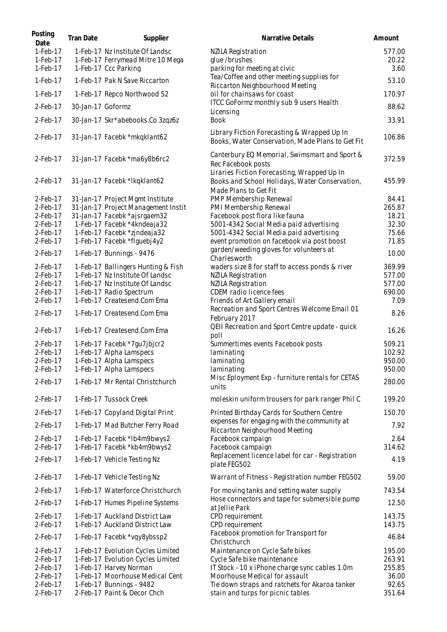| Posting<br>Date | <b>Tran Date</b>  | Supplier                            | Narrative Details                                                                                                      | Amount |
|-----------------|-------------------|-------------------------------------|------------------------------------------------------------------------------------------------------------------------|--------|
| 1-Feb-17        |                   | 1-Feb-17 Nz Institute Of Landsc     | NZILA Registration                                                                                                     | 577.00 |
| 1-Feb-17        |                   | 1-Feb-17 Ferrymead Mitre 10 Mega    | glue/brushes                                                                                                           | 20.22  |
| $1-Feb-17$      |                   | 1-Feb-17 Ccc Parking                | parking for meeting at civic                                                                                           | 3.60   |
| $1-Feb-17$      |                   | 1-Feb-17 Pak N Save Riccarton       | Tea/Coffee and other meeting supplies for<br>Riccarton Neighbourhood Meeting                                           | 53.10  |
| 1-Feb-17        |                   | 1-Feb-17 Repco Northwood 52         | oil for chainsaws for coast                                                                                            | 170.97 |
| $2$ -Feb-17     | 30-Jan-17 Goformz |                                     | ITCC GoFormz monthly sub 9 users Health<br>Licensing                                                                   | 88.62  |
| $2$ -Feb-17     |                   | 30-Jan-17 Skr*abebooks.Co 3zqz6z    | <b>Book</b>                                                                                                            | 33.91  |
| $2$ -Feb-17     |                   | 31-Jan-17 Facebk *mkqklant62        | Library Fiction Forecasting & Wrapped Up In<br>Books, Water Conservation, Made Plans to Get Fit                        | 106.86 |
| $2$ -Feb-17     |                   | 31-Jan-17 Facebk *ma6y8b6rc2        | Canterbury EQ Memorial, Swimsmart and Sport &<br>Rec Facebook posts                                                    | 372.59 |
| 2-Feb-17        |                   | 31-Jan-17 Facebk *lkqklant62        | Liraries Fiction Forecasting, Wrapped Up In<br>Books and School Holidays, Water Conservation,<br>Made Plans to Get Fit | 455.99 |
| $2$ -Feb-17     |                   | 31-Jan-17 Project Mgmt Institute    | PMP Membership Renewal                                                                                                 | 84.41  |
| $2$ -Feb-17     |                   | 31-Jan-17 Project Management Instit | PMI Membership Renewal                                                                                                 | 265.87 |
| 2-Feb-17        |                   | 31-Jan-17 Facebk *ajsrgaem32        | Facebook post flora like fauna                                                                                         | 18.21  |
| $2$ -Feb-17     |                   | 1-Feb-17 Facebk *4kndeaja32         | 5001-4342 Social Media paid advertising                                                                                | 32.30  |
| $2$ -Feb-17     |                   | 1-Feb-17 Facebk *zindeaja32         | 5001-4342 Social Media paid advertising                                                                                | 75.66  |
| $2$ -Feb-17     |                   | 1-Feb-17 Facebk *flguebj4y2         | event promotion on facebook via post boost                                                                             | 71.85  |
| $2$ -Feb-17     |                   | 1-Feb-17 Bunnings - 9476            | garden/weeding gloves for volunteers at<br>Charlesworth                                                                | 10.00  |
| $2$ -Feb-17     |                   | 1-Feb-17 Ballingers Hunting & Fish  | waders size 8 for staff to access ponds & river                                                                        | 369.99 |
| 2-Feb-17        |                   | 1-Feb-17 Nz Institute Of Landsc     | NZILA Registration                                                                                                     | 577.00 |
| 2-Feb-17        |                   | 1-Feb-17 Nz Institute Of Landsc     | NZILA Registration                                                                                                     | 577.00 |
| $2$ -Feb-17     |                   | 1-Feb-17 Radio Spectrum             | CDEM radio licence fees                                                                                                | 690.00 |
| $2$ -Feb-17     |                   | 1-Feb-17 Createsend.Com Ema         | Friends of Art Gallery email                                                                                           | 7.09   |
|                 |                   |                                     | Recreation and Sport Centres Welcome Email 01                                                                          |        |
| $2$ -Feb-17     |                   | 1-Feb-17 Createsend.Com Ema         | February 2017<br>QEII Recreation and Sport Centre update - quick                                                       | 8.26   |
| $2$ -Feb-17     |                   | 1-Feb-17 Createsend.Com Ema         | poll                                                                                                                   | 16.26  |
| $2$ -Feb-17     |                   | 1-Feb-17 Facebk *7gu7jbjcr2         | Summertimes events Facebook posts                                                                                      | 509.21 |
| 2-Feb-17        |                   | 1-Feb-17 Alpha Lamspecs             | laminating                                                                                                             | 102.92 |
| 2-Feb-17        |                   | 1-Feb-17 Alpha Lamspecs             | laminating                                                                                                             | 950.00 |
| $2$ -Feb-17     |                   | 1-Feb-17 Alpha Lamspecs             | laminating                                                                                                             | 950.00 |
| $2$ -Feb-17     |                   | 1-Feb-17 Mr Rental Christchurch     | Misc Eployment Exp - furniture rentals for CETAS<br>units                                                              | 280.00 |
| $2$ -Feb-17     |                   | 1-Feb-17 Tussock Creek              | moleskin uniform trousers for park ranger Phil C                                                                       | 199.20 |
| $2$ -Feb-17     |                   | 1-Feb-17 Copyland Digital Print     | Printed Birthday Cards for Southern Centre                                                                             | 150.70 |
| $2$ -Feb-17     |                   | 1-Feb-17 Mad Butcher Ferry Road     | expenses for engaging with the community at<br>Riccarton Neighourhood Meeting                                          | 7.92   |
| $2$ -Feb-17     |                   | 1-Feb-17 Facebk *lb4m9bwys2         | Facebook campaign                                                                                                      | 2.64   |
| $2$ -Feb-17     |                   | 1-Feb-17 Facebk *kb4m9bwys2         | Facebook campaign                                                                                                      | 314.62 |
| $2$ -Feb-17     |                   | 1-Feb-17 Vehicle Testing Nz         | Replacement licence label for car - Registration<br>plate FEG502                                                       | 4.19   |
| 2-Feb-17        |                   | 1-Feb-17 Vehicle Testing Nz         | Warrant of Fitness - Registration number FEG502                                                                        | 59.00  |
| $2$ -Feb-17     |                   | 1-Feb-17 Waterforce Christchurch    | For moving tanks and setting water supply                                                                              | 743.54 |
| $2$ -Feb-17     |                   | 1-Feb-17 Humes Pipeline Systems     | Hose connectors and tape for submersible pump<br>at Jellie Park                                                        | 12.50  |
| $2$ -Feb-17     |                   | 1-Feb-17 Auckland District Law      | CPD requirement                                                                                                        | 143.75 |
| $2$ -Feb-17     |                   | 1-Feb-17 Auckland District Law      | CPD requirement                                                                                                        | 143.75 |
| $2$ -Feb-17     |                   | 1-Feb-17 Facebk *vqy8ybssp2         | Facebook promotion for Transport for<br>Christchurch                                                                   | 46.84  |
| 2-Feb-17        |                   | 1-Feb-17 Evolution Cycles Limited   | Maintenance on Cycle Safe bikes                                                                                        | 195.00 |
| 2-Feb-17        |                   | 1-Feb-17 Evolution Cycles Limited   | Cycle Safe bike maintenance                                                                                            | 263.91 |
| 2-Feb-17        |                   | 1-Feb-17 Harvey Norman              | IT Stock - 10 x iPhone charge sync cables 1.0m                                                                         | 255.85 |
| 2-Feb-17        |                   | 1-Feb-17 Moorhouse Medical Cent     | Moorhouse Medical for assault                                                                                          | 36.00  |
| 2-Feb-17        |                   | 1-Feb-17 Bunnings - 9482            | Tie down straps and ratchets for Akaroa tanker                                                                         | 92.65  |
| 2-Feb-17        |                   | 2-Feb-17 Paint & Decor Chch         | stain and turps for picnic tables                                                                                      | 351.64 |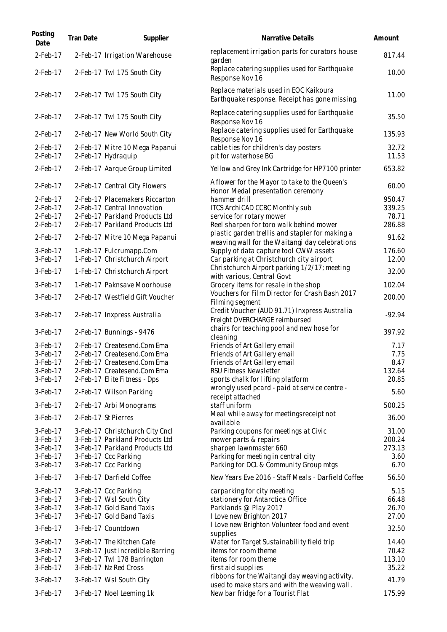| Posting<br>Date            | <b>Tran Date</b> | Supplier                                                         | Narrative Details                                                                               | Amount           |
|----------------------------|------------------|------------------------------------------------------------------|-------------------------------------------------------------------------------------------------|------------------|
| $2$ -Feb-17                |                  | 2-Feb-17 Irrigation Warehouse                                    | replacement irrigation parts for curators house<br>garden                                       | 817.44           |
| 2-Feb-17                   |                  | 2-Feb-17 Twl 175 South City                                      | Replace catering supplies used for Earthquake<br>Response Nov 16                                | 10.00            |
| $2$ -Feb-17                |                  | 2-Feb-17 Twl 175 South City                                      | Replace materials used in EOC Kaikoura<br>Earthquake response. Receipt has gone missing.        | 11.00            |
| $2$ -Feb-17                |                  | 2-Feb-17 Twl 175 South City                                      | Replace catering supplies used for Earthquake<br>Response Nov 16                                | 35.50            |
| $2$ -Feb-17                |                  | 2-Feb-17 New World South City                                    | Replace catering supplies used for Earthquake<br>Response Nov 16                                | 135.93           |
| $2$ -Feb-17<br>$2$ -Feb-17 |                  | 2-Feb-17 Mitre 10 Mega Papanui<br>2-Feb-17 Hydraquip             | cable ties for children's day posters<br>pit for waterhose BG                                   | 32.72<br>11.53   |
| $2$ -Feb-17                |                  | 2-Feb-17 Aarque Group Limited                                    | Yellow and Grey Ink Cartridge for HP7100 printer                                                | 653.82           |
| $2$ -Feb-17                |                  | 2-Feb-17 Central City Flowers                                    | A flower for the Mayor to take to the Queen's<br>Honor Medal presentation ceremony              | 60.00            |
| $2$ -Feb-17                |                  | 2-Feb-17 Placemakers Riccarton                                   | hammer drill                                                                                    | 950.47           |
| $2$ -Feb-17                |                  | 2-Feb-17 Central Innovation                                      | ITCS ArchiCAD CCBC Monthly sub                                                                  | 339.25           |
| $2$ -Feb-17                |                  | 2-Feb-17 Parkland Products Ltd                                   | service for rotary mower                                                                        | 78.71            |
| 2-Feb-17                   |                  | 2-Feb-17 Parkland Products Ltd                                   | Reel sharpen for toro walk behind mower                                                         | 286.88           |
| $2$ -Feb-17                |                  | 2-Feb-17 Mitre 10 Mega Papanui                                   | plastic garden trellis and stapler for making a                                                 | 91.62            |
| 3-Feb-17                   |                  |                                                                  | weaving wall for the Waitangi day celebrations                                                  | 176.60           |
| 3-Feb-17                   |                  | 1-Feb-17 Fulcrumapp.Com<br>1-Feb-17 Christchurch Airport         | Supply of data capture tool CWW assets<br>Car parking at Christchurch city airport              | 12.00            |
|                            |                  |                                                                  | Christchurch Airport parking 1/2/17; meeting                                                    |                  |
| 3-Feb-17                   |                  | 1-Feb-17 Christchurch Airport                                    | with various, Central Govt                                                                      | 32.00            |
| 3-Feb-17                   |                  | 1-Feb-17 Paknsave Moorhouse                                      | Grocery items for resale in the shop                                                            | 102.04           |
| 3-Feb-17                   |                  | 2-Feb-17 Westfield Gift Voucher                                  | Vouchers for Film Director for Crash Bash 2017                                                  | 200.00           |
|                            |                  |                                                                  | Filming segment                                                                                 |                  |
| 3-Feb-17                   |                  | 2-Feb-17 Inxpress Australia                                      | Credit Voucher (AUD 91.71) Inxpress Australia<br>Freight OVERCHARGE reimbursed                  | $-92.94$         |
| 3-Feb-17                   |                  | 2-Feb-17 Bunnings - 9476                                         | chairs for teaching pool and new hose for<br>cleaning                                           | 397.92           |
| 3-Feb-17                   |                  | 2-Feb-17 Createsend.Com Ema                                      | Friends of Art Gallery email                                                                    | 7.17             |
| 3-Feb-17                   |                  | 2-Feb-17 Createsend.Com Ema                                      | Friends of Art Gallery email                                                                    | 7.75             |
| 3-Feb-17                   |                  | 2-Feb-17 Createsend.Com Ema                                      | Friends of Art Gallery email                                                                    | 8.47             |
| 3-Feb-17                   |                  | 2-Feb-17 Createsend.Com Ema                                      | RSU Fitness Newsletter                                                                          | 132.64           |
| 3-Feb-17                   |                  | 2-Feb-17 Elite Fitness - Dps                                     | sports chalk for lifting platform                                                               | 20.85            |
| 3-Feb-17                   |                  | 2-Feb-17 Wilson Parking                                          | wrongly used pcard - paid at service centre -<br>receipt attached                               | 5.60             |
| 3-Feb-17                   |                  | 2-Feb-17 Arbi Monograms                                          | staff uniform                                                                                   | 500.25           |
|                            |                  |                                                                  | Meal while away for meetingsreceipt not                                                         |                  |
| 3-Feb-17                   |                  | 2-Feb-17 St Pierres                                              | available                                                                                       | 36.00            |
| 3-Feb-17                   |                  | 3-Feb-17 Christchurch City Cncl                                  | Parking coupons for meetings at Civic                                                           | 31.00            |
| 3-Feb-17<br>$3-Feb-17$     |                  | 3-Feb-17 Parkland Products Ltd<br>3-Feb-17 Parkland Products Ltd | mower parts & repairs<br>sharpen lawnmaster 660                                                 | 200.24<br>273.13 |
| $3-Feb-17$                 |                  | 3-Feb-17 Ccc Parking                                             | Parking for meeting in central city                                                             | 3.60             |
| $3-Feb-17$                 |                  | 3-Feb-17 Ccc Parking                                             | Parking for DCL & Community Group mtgs                                                          | 6.70             |
| 3-Feb-17                   |                  | 3-Feb-17 Darfield Coffee                                         | New Years Eve 2016 - Staff Meals - Darfield Coffee                                              | 56.50            |
| $3-Feb-17$                 |                  | 3-Feb-17 Ccc Parking                                             | carparking for city meeting                                                                     | 5.15             |
| 3-Feb-17                   |                  | 3-Feb-17 Wsl South City                                          | stationery for Antarctica Office                                                                | 66.48            |
| 3-Feb-17                   |                  | 3-Feb-17 Gold Band Taxis                                         | Parklands @ Play 2017                                                                           | 26.70            |
| 3-Feb-17                   |                  | 3-Feb-17 Gold Band Taxis                                         | I Love new Brighton 2017                                                                        | 27.00            |
| 3-Feb-17                   |                  | 3-Feb-17 Countdown                                               | I Love new Brighton Volunteer food and event<br>supplies                                        | 32.50            |
| 3-Feb-17                   |                  | 3-Feb-17 The Kitchen Cafe                                        | Water for Target Sustainability field trip                                                      | 14.40            |
| 3-Feb-17                   |                  | 3-Feb-17 Just Incredible Barring                                 | items for room theme                                                                            | 70.42            |
| 3-Feb-17                   |                  | 3-Feb-17 Twl 178 Barrington                                      | items for room theme                                                                            | 113.10           |
| 3-Feb-17                   |                  | 3-Feb-17 Nz Red Cross                                            | first aid supplies                                                                              | 35.22            |
| 3-Feb-17                   |                  | 3-Feb-17 Wsl South City                                          | ribbons for the Waitangi day weaving activity.<br>used to make stars and with the weaving wall. | 41.79            |
| 3-Feb-17                   |                  | 3-Feb-17 Noel Leeming 1k                                         | New bar fridge for a Tourist Flat                                                               | 175.99           |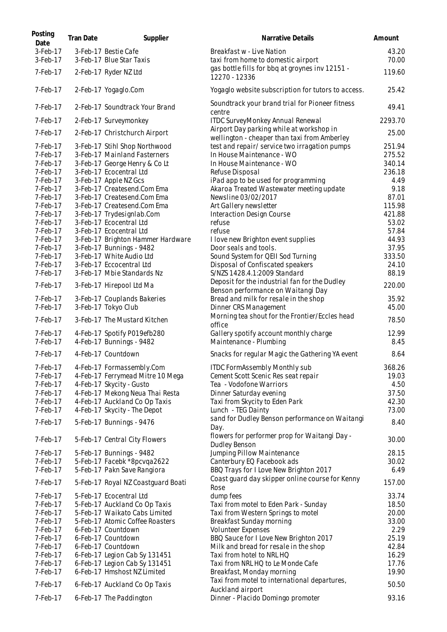| Posting<br>Date         | <b>Tran Date</b> | Supplier                                                      | Narrative Details                                                                        | Amount           |
|-------------------------|------------------|---------------------------------------------------------------|------------------------------------------------------------------------------------------|------------------|
| 3-Feb-17<br>3-Feb-17    |                  | 3-Feb-17 Bestie Cafe<br>3-Feb-17 Blue Star Taxis              | Breakfast w - Live Nation<br>taxi from home to domestic airport                          | 43.20<br>70.00   |
| 7-Feb-17                |                  | 2-Feb-17 Ryder NZ Ltd                                         | gas bottle fills for bbq at groynes inv 12151 -<br>12270 - 12336                         | 119.60           |
| 7-Feb-17                |                  | 2-Feb-17 Yogaglo.Com                                          | Yogaglo website subscription for tutors to access.                                       | 25.42            |
| $7$ -Feb-17             |                  | 2-Feb-17 Soundtrack Your Brand                                | Soundtrack your brand trial for Pioneer fitness<br>centre                                | 49.41            |
| 7-Feb-17                |                  | 2-Feb-17 Surveymonkey                                         | ITDC SurveyMonkey Annual Renewal                                                         | 2293.70          |
| 7-Feb-17                |                  | 2-Feb-17 Christchurch Airport                                 | Airport Day parking while at workshop in<br>wellington - cheaper than taxi from Amberley | 25.00            |
| $7$ -Feb-17<br>7-Feb-17 |                  | 3-Feb-17 Stihl Shop Northwood<br>3-Feb-17 Mainland Fasterners | test and repair/ service two irragation pumps<br>In House Maintenance - WO               | 251.94<br>275.52 |
| 7-Feb-17                |                  |                                                               | In House Maintenance - WO                                                                | 340.14           |
|                         |                  | 3-Feb-17 George Henry & Co Lt                                 |                                                                                          |                  |
| 7-Feb-17                |                  | 3-Feb-17 Ecocentral Ltd                                       | Refuse Disposal                                                                          | 236.18           |
| 7-Feb-17                |                  | 3-Feb-17 Apple NZ Gcs                                         | iPad app to be used for programming                                                      | 4.49             |
| 7-Feb-17                |                  | 3-Feb-17 Createsend.Com Ema                                   | Akaroa Treated Wastewater meeting update                                                 | 9.18             |
| 7-Feb-17                |                  | 3-Feb-17 Createsend.Com Ema                                   | Newsline 03/02/2017                                                                      | 87.01            |
| 7-Feb-17                |                  | 3-Feb-17 Createsend.Com Ema                                   | Art Gallery newsletter                                                                   | 115.98           |
| 7-Feb-17                |                  | 3-Feb-17 Trydesignlab.Com                                     | Interaction Design Course                                                                | 421.88           |
| 7-Feb-17                |                  | 3-Feb-17 Ecocentral Ltd                                       | refuse                                                                                   | 53.02            |
| 7-Feb-17                |                  | 3-Feb-17 Ecocentral Ltd                                       | refuse                                                                                   | 57.84            |
| 7-Feb-17                |                  | 3-Feb-17 Brighton Hammer Hardware                             | I love new Brighton event supplies                                                       | 44.93            |
| 7-Feb-17                |                  | 3-Feb-17 Bunnings - 9482                                      | Door seals and tools.                                                                    | 37.95            |
| 7-Feb-17                |                  | 3-Feb-17 White Audio Ltd                                      | Sound System for QEII Sod Turning                                                        | 333.50           |
| 7-Feb-17                |                  | 3-Feb-17 Eccocentral Ltd                                      | Disposal of Confiscated speakers                                                         | 24.10            |
| 7-Feb-17                |                  | 3-Feb-17 Mbie Standards Nz                                    | S/NZS 1428.4.1:2009 Standard                                                             | 88.19            |
| 7-Feb-17                |                  | 3-Feb-17 Hirepool Ltd Ma                                      | Deposit for the industrial fan for the Dudley<br>Benson performance on Waitangi Day      | 220.00           |
| 7-Feb-17                |                  | 3-Feb-17 Couplands Bakeries                                   | Bread and milk for resale in the shop                                                    | 35.92            |
| 7-Feb-17                |                  | 3-Feb-17 Tokyo Club                                           | Dinner CRS Management                                                                    | 45.00            |
| 7-Feb-17                |                  | 3-Feb-17 The Mustard Kitchen                                  | Morning tea shout for the Frontier/Eccles head<br>office                                 | 78.50            |
| 7-Feb-17                |                  | 4-Feb-17 Spotify P019efb280                                   | Gallery spotify account monthly charge                                                   | 12.99            |
| 7-Feb-17                |                  | 4-Feb-17 Bunnings - 9482                                      | Maintenance - Plumbing                                                                   | 8.45             |
| 7-Feb-17                |                  | 4-Feb-17 Countdown                                            | Snacks for regular Magic the Gathering YA event                                          | 8.64             |
| 7-Feb-17                |                  | 4-Feb-17 Formassembly.Com                                     | <b>ITDC FormAssembly Monthly sub</b>                                                     | 368.26           |
| 7-Feb-17                |                  | 4-Feb-17 Ferrymead Mitre 10 Mega                              | Cement Scott Scenic Res seat repair                                                      | 19.03            |
| 7-Feb-17                |                  | 4-Feb-17 Skycity - Gusto                                      | Tea - Vodofone Warriors                                                                  | 4.50             |
| 7-Feb-17                |                  | 4-Feb-17 Mekong Neua Thai Resta                               | Dinner Saturday evening                                                                  | 37.50            |
| 7-Feb-17                |                  | 4-Feb-17 Auckland Co Op Taxis                                 | Taxi from Skycity to Eden Park                                                           | 42.30            |
| 7-Feb-17                |                  | 4-Feb-17 Skycity - The Depot                                  | Lunch - TEG Dainty                                                                       | 73.00            |
| 7-Feb-17                |                  | 5-Feb-17 Bunnings - 9476                                      | sand for Dudley Benson performance on Waitangi<br>Day.                                   | 8.40             |
| 7-Feb-17                |                  | 5-Feb-17 Central City Flowers                                 | flowers for performer prop for Waitangi Day -<br>Dudley Benson                           | 30.00            |
| 7-Feb-17                |                  | 5-Feb-17 Bunnings - 9482                                      | Jumping Pillow Maintenance                                                               | 28.15            |
| $7$ -Feb-17             |                  | 5-Feb-17 Facebk *8pcvga2622                                   | Canterbury EQ Facebook ads                                                               | 30.02            |
| 7-Feb-17                |                  | 5-Feb-17 Pakn Save Rangiora                                   | BBQ Trays for I Love New Brighton 2017                                                   | 6.49             |
| 7-Feb-17                |                  | 5-Feb-17 Royal NZ Coastguard Boati                            | Coast guard day skipper online course for Kenny<br>Rose                                  | 157.00           |
| 7-Feb-17                |                  | 5-Feb-17 Ecocentral Ltd                                       | dump fees                                                                                | 33.74            |
| 7-Feb-17                |                  | 5-Feb-17 Auckland Co Op Taxis                                 | Taxi from motel to Eden Park - Sunday                                                    | 18.50            |
| 7-Feb-17                |                  | 5-Feb-17 Waikato Cabs Limited                                 | Taxi from Western Springs to motel                                                       | 20.00            |
| 7-Feb-17                |                  | 5-Feb-17 Atomic Coffee Roasters                               | Breakfast Sunday morning                                                                 | 33.00            |
| 7-Feb-17                |                  | 6-Feb-17 Countdown                                            | <b>Volunteer Expenses</b>                                                                | 2.29             |
| 7-Feb-17                |                  | 6-Feb-17 Countdown                                            | BBQ Sauce for I Love New Brighton 2017                                                   | 25.19            |
| 7-Feb-17                |                  | 6-Feb-17 Countdown                                            | Milk and bread for resale in the shop                                                    | 42.84            |
| 7-Feb-17                |                  | 6-Feb-17 Legion Cab Sy 131451                                 | Taxi from hotel to NRL HQ                                                                | 16.29            |
| 7-Feb-17                |                  | 6-Feb-17 Legion Cab Sy 131451                                 | Taxi from NRL HQ to Le Monde Cafe                                                        | 17.76            |
| 7-Feb-17                |                  | 6-Feb-17 Hmshost NZ Limited                                   | Breakfast, Monday morning                                                                | 19.90            |
|                         |                  |                                                               | Taxi from motel to international departures,                                             |                  |
| 7-Feb-17                |                  | 6-Feb-17 Auckland Co Op Taxis                                 | Auckland airport                                                                         | 50.50            |
| 7-Feb-17                |                  | 6-Feb-17 The Paddington                                       | Dinner - Placido Domingo promoter                                                        | 93.16            |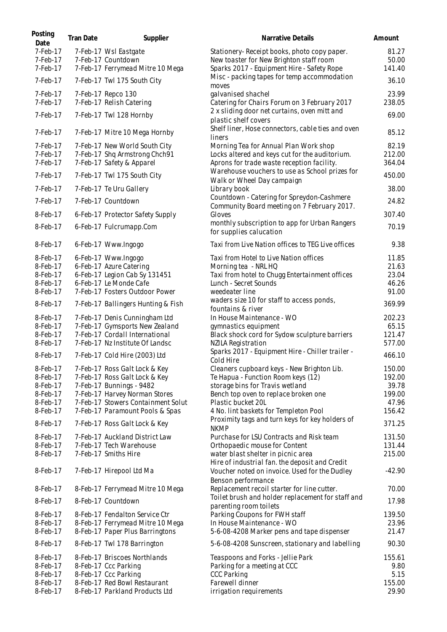| Posting<br>Date      | <b>Tran Date</b> | Supplier                                                            | Narrative Details                                                                                | Amount           |
|----------------------|------------------|---------------------------------------------------------------------|--------------------------------------------------------------------------------------------------|------------------|
| 7-Feb-17             |                  | 7-Feb-17 Wsl Eastgate                                               | Stationery-Receipt books, photo copy paper.                                                      | 81.27            |
| 7-Feb-17             |                  | 7-Feb-17 Countdown                                                  | New toaster for New Brighton staff room                                                          | 50.00            |
| 7-Feb-17             |                  | 7-Feb-17 Ferrymead Mitre 10 Mega                                    | Sparks 2017 - Equipment Hire - Safety Rope                                                       | 141.40           |
| 7-Feb-17             |                  | 7-Feb-17 Twl 175 South City                                         | Misc - packing tapes for temp accommodation<br>moves                                             | 36.10            |
| 7-Feb-17             |                  | 7-Feb-17 Repco 130                                                  | galvanised shachel                                                                               | 23.99            |
| 7-Feb-17             |                  | 7-Feb-17 Relish Catering                                            | Catering for Chairs Forum on 3 February 2017                                                     | 238.05           |
| 7-Feb-17             |                  | 7-Feb-17 Twl 128 Hornby                                             | 2 x sliding door net curtains, oven mitt and<br>plastic shelf covers                             | 69.00            |
| 7-Feb-17             |                  | 7-Feb-17 Mitre 10 Mega Hornby                                       | Shelf liner, Hose connectors, cable ties and oven<br>liners                                      | 85.12            |
| 7-Feb-17             |                  | 7-Feb-17 New World South City                                       | Morning Tea for Annual Plan Work shop                                                            | 82.19            |
| 7-Feb-17             |                  | 7-Feb-17 Shq Armstrong Chch91                                       | Locks altered and keys cut for the auditorium.                                                   | 212.00           |
| 7-Feb-17             |                  | 7-Feb-17 Safety & Apparel                                           | Aprons for trade waste reception facility.                                                       | 364.04           |
| 7-Feb-17             |                  | 7-Feb-17 Twl 175 South City                                         | Warehouse vouchers to use as School prizes for<br>Walk or Wheel Day campaign                     | 450.00           |
| 7-Feb-17             |                  | 7-Feb-17 Te Uru Gallery                                             | Library book                                                                                     | 38.00            |
| 7-Feb-17             |                  | 7-Feb-17 Countdown                                                  | Countdown - Catering for Spreydon-Cashmere<br>Community Board meeting on 7 February 2017.        | 24.82            |
| 8-Feb-17             |                  | 6-Feb-17 Protector Safety Supply                                    | Gloves                                                                                           | 307.40           |
| 8-Feb-17             |                  | 6-Feb-17 Fulcrumapp.Com                                             | monthly subscription to app for Urban Rangers<br>for supplies calucation                         | 70.19            |
| 8-Feb-17             |                  | 6-Feb-17 Www.Ingogo                                                 | Taxi from Live Nation offices to TEG Live offices                                                | 9.38             |
| 8-Feb-17             |                  | 6-Feb-17 Www.Ingogo                                                 | Taxi from Hotel to Live Nation offices                                                           | 11.85            |
| 8-Feb-17             |                  | 6-Feb-17 Azure Catering                                             | Morning tea - NRL HQ                                                                             | 21.63            |
| 8-Feb-17             |                  | 6-Feb-17 Legion Cab Sy 131451                                       | Taxi from hotel to Chugg Entertainment offices                                                   | 23.04            |
| 8-Feb-17             |                  | 6-Feb-17 Le Monde Cafe                                              | Lunch - Secret Sounds                                                                            | 46.26            |
| 8-Feb-17             |                  | 7-Feb-17 Fosters Outdoor Power                                      | weedeater line                                                                                   | 91.00            |
| 8-Feb-17             |                  | 7-Feb-17 Ballingers Hunting & Fish                                  | waders size 10 for staff to access ponds,<br>fountains & river                                   | 369.99           |
| 8-Feb-17             |                  | 7-Feb-17 Denis Cunningham Ltd                                       | In House Maintenance - WO                                                                        | 202.23           |
| 8-Feb-17             |                  | 7-Feb-17 Gymsports New Zealand                                      | gymnastics equipment                                                                             | 65.15            |
| 8-Feb-17             |                  | 7-Feb-17 Cordall International                                      | Black shock cord for Sydow sculpture barriers                                                    | 121.47           |
| 8-Feb-17             |                  | 7-Feb-17 Nz Institute Of Landsc                                     | <b>NZILA Registration</b>                                                                        | 577.00           |
| 8-Feb-17             |                  | 7-Feb-17 Cold Hire (2003) Ltd                                       | Sparks 2017 - Equipment Hire - Chiller trailer -<br>Cold Hire                                    | 466.10           |
| 8-Feb-17             |                  | 7-Feb-17 Ross Galt Lock & Key                                       | Cleaners cupboard keys - New Brighton Lib.                                                       | 150.00           |
| 8-Feb-17             |                  | 7-Feb-17 Ross Galt Lock & Key                                       | Te Hapua - Function Room keys (12)                                                               | 192.00           |
| 8-Feb-17             |                  | 7-Feb-17 Bunnings - 9482                                            | storage bins for Travis wetland                                                                  | 39.78            |
| 8-Feb-17             |                  | 7-Feb-17 Harvey Norman Stores                                       | Bench top oven to replace broken one                                                             | 199.00           |
| 8-Feb-17<br>8-Feb-17 |                  | 7-Feb-17 Stowers Containment Solut                                  | Plastic bucket 20L                                                                               | 47.96            |
| 8-Feb-17             |                  | 7-Feb-17 Paramount Pools & Spas<br>7-Feb-17 Ross Galt Lock & Key    | 4 No. lint baskets for Templeton Pool<br>Proximity tags and turn keys for key holders of         | 156.42<br>371.25 |
|                      |                  |                                                                     | <b>NKMP</b>                                                                                      |                  |
| 8-Feb-17             |                  | 7-Feb-17 Auckland District Law                                      | Purchase for LSU Contracts and Risk team                                                         | 131.50           |
| 8-Feb-17             |                  | 7-Feb-17 Tech Warehouse                                             | Orthopaedic mouse for Content                                                                    | 131.44           |
| 8-Feb-17             |                  | 7-Feb-17 Smiths Hire                                                | water blast shelter in picnic area<br>Hire of industrial fan. the deposit and Credit             | 215.00           |
| 8-Feb-17             |                  | 7-Feb-17 Hirepool Ltd Ma                                            | Voucher noted on invoice. Used for the Dudley<br>Benson performance                              | $-42.90$         |
| 8-Feb-17             |                  | 8-Feb-17 Ferrymead Mitre 10 Mega                                    | Replacement recoil starter for line cutter.<br>Toilet brush and holder replacement for staff and | 70.00            |
| 8-Feb-17             |                  | 8-Feb-17 Countdown                                                  | parenting room toilets                                                                           | 17.98            |
| 8-Feb-17             |                  | 8-Feb-17 Fendalton Service Ctr                                      | Parking Coupons for FWH staff                                                                    | 139.50           |
| 8-Feb-17<br>8-Feb-17 |                  | 8-Feb-17 Ferrymead Mitre 10 Mega<br>8-Feb-17 Paper Plus Barringtons | In House Maintenance - WO<br>5-6-08-4208 Marker pens and tape dispenser                          | 23.96<br>21.47   |
| 8-Feb-17             |                  | 8-Feb-17 Twl 178 Barrington                                         | 5-6-08-4208 Sunscreen, stationary and labelling                                                  | 90.30            |
| 8-Feb-17             |                  | 8-Feb-17 Briscoes Northlands                                        | Teaspoons and Forks - Jellie Park                                                                | 155.61           |
| 8-Feb-17             |                  | 8-Feb-17 Ccc Parking                                                | Parking for a meeting at CCC                                                                     | 9.80             |
| 8-Feb-17             |                  | 8-Feb-17 Ccc Parking                                                | <b>CCC Parking</b>                                                                               | 5.15             |
| 8-Feb-17             |                  | 8-Feb-17 Red Bowl Restaurant                                        | Farewell dinner                                                                                  | 155.00           |
| 8-Feb-17             |                  | 8-Feb-17 Parkland Products Ltd                                      | irrigation requirements                                                                          | 29.90            |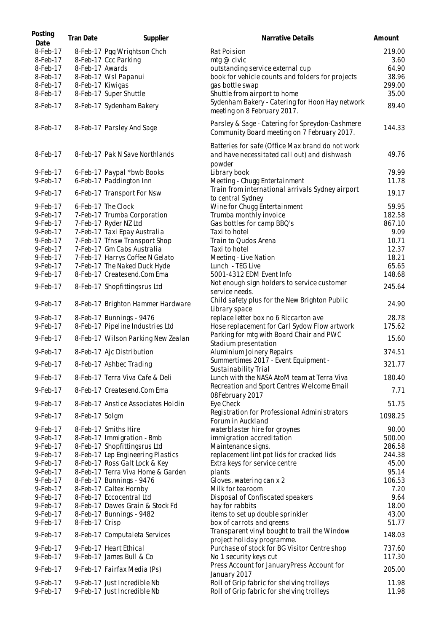| Posting<br>Date | <b>Tran Date</b> | Supplier                                          | Narrative Details                                                                                          | Amount  |
|-----------------|------------------|---------------------------------------------------|------------------------------------------------------------------------------------------------------------|---------|
| 8-Feb-17        |                  | 8-Feb-17 Pgg Wrightson Chch                       | Rat Poision                                                                                                | 219.00  |
| 8-Feb-17        |                  | 8-Feb-17 Ccc Parking                              | mtg $@$ civic                                                                                              | 3.60    |
| 8-Feb-17        | 8-Feb-17 Awards  |                                                   | outstanding service external cup                                                                           | 64.90   |
| 8-Feb-17        |                  | 8-Feb-17 Wsl Papanui                              | book for vehicle counts and folders for projects                                                           | 38.96   |
| 8-Feb-17        | 8-Feb-17 Kiwigas |                                                   | gas bottle swap                                                                                            | 299.00  |
| 8-Feb-17        |                  | 8-Feb-17 Super Shuttle                            | Shuttle from airport to home                                                                               | 35.00   |
| 8-Feb-17        |                  | 8-Feb-17 Sydenham Bakery                          | Sydenham Bakery - Catering for Hoon Hay network<br>meeting on 8 February 2017.                             | 89.40   |
| 8-Feb-17        |                  | 8-Feb-17 Parsley And Sage                         | Parsley & Sage - Catering for Spreydon-Cashmere<br>Community Board meeting on 7 February 2017.             | 144.33  |
| 8-Feb-17        |                  | 8-Feb-17 Pak N Save Northlands                    | Batteries for safe (Office Max brand do not work<br>and have necessitated call out) and dishwash<br>powder | 49.76   |
| 9-Feb-17        |                  | 6-Feb-17 Paypal *bwb Books                        | Library book                                                                                               | 79.99   |
| 9-Feb-17        |                  | 6-Feb-17 Paddington Inn                           |                                                                                                            | 11.78   |
|                 |                  |                                                   | Meeting - Chugg Entertainment                                                                              |         |
| 9-Feb-17        |                  | 6-Feb-17 Transport For Nsw                        | Train from international arrivals Sydney airport                                                           | 19.17   |
| 9-Feb-17        |                  |                                                   | to central Sydney                                                                                          | 59.95   |
| 9-Feb-17        |                  | 6-Feb-17 The Clock<br>7-Feb-17 Trumba Corporation | Wine for Chugg Entertainment                                                                               | 182.58  |
| 9-Feb-17        |                  | 7-Feb-17 Ryder NZ Ltd                             | Trumba monthly invoice<br>Gas bottles for camp BBQ's                                                       | 867.10  |
| 9-Feb-17        |                  | 7-Feb-17 Taxi Epay Australia                      | Taxi to hotel                                                                                              | 9.09    |
| 9-Feb-17        |                  | 7-Feb-17 Tfnsw Transport Shop                     | Train to Qudos Arena                                                                                       | 10.71   |
| 9-Feb-17        |                  | 7-Feb-17 Gm Cabs Australia                        | Taxi to hotel                                                                                              | 12.37   |
| 9-Feb-17        |                  | 7-Feb-17 Harrys Coffee N Gelato                   | Meeting - Live Nation                                                                                      | 18.21   |
| 9-Feb-17        |                  | 7-Feb-17 The Naked Duck Hyde                      | Lunch - TEG Live                                                                                           | 65.65   |
| 9-Feb-17        |                  | 8-Feb-17 Createsend.Com Ema                       | 5001-4312 EDM Event Info                                                                                   | 148.68  |
| 9-Feb-17        |                  | 8-Feb-17 Shopfittingsrus Ltd                      | Not enough sign holders to service customer<br>service needs.                                              | 245.64  |
| 9-Feb-17        |                  | 8-Feb-17 Brighton Hammer Hardware                 | Child safety plus for the New Brighton Public<br>Library space                                             | 24.90   |
| 9-Feb-17        |                  | 8-Feb-17 Bunnings - 9476                          | replace letter box no 6 Riccarton ave                                                                      | 28.78   |
| 9-Feb-17        |                  | 8-Feb-17 Pipeline Industries Ltd                  | Hose replacement for Carl Sydow Flow artwork                                                               | 175.62  |
| 9-Feb-17        |                  | 8-Feb-17 Wilson Parking New Zealan                | Parking for mtg with Board Chair and PWC                                                                   | 15.60   |
| 9-Feb-17        |                  | 8-Feb-17 Ajc Distribution                         | Stadium presentation<br>Aluminium Joinery Repairs                                                          | 374.51  |
|                 |                  |                                                   | Summertimes 2017 - Event Equipment -                                                                       |         |
| 9-Feb-17        |                  | 8-Feb-17 Ashbec Trading                           | Sustainability Trial                                                                                       | 321.77  |
| 9-Feb-17        |                  | 8-Feb-17 Terra Viva Cafe & Deli                   | Lunch with the NASA AtoM team at Terra Viva                                                                | 180.40  |
| 9-Feb-17        |                  | 8-Feb-17 Createsend.Com Ema                       | Recreation and Sport Centres Welcome Email<br>08February 2017                                              | 7.71    |
| 9-Feb-17        |                  | 8-Feb-17 Anstice Associates Holdin                | Eye Check                                                                                                  | 51.75   |
| 9-Feb-17        | 8-Feb-17 Solgm   |                                                   | Registration for Professional Administrators<br>Forum in Auckland                                          | 1098.25 |
| 9-Feb-17        |                  | 8-Feb-17 Smiths Hire                              | waterblaster hire for groynes                                                                              | 90.00   |
| 9-Feb-17        |                  | 8-Feb-17 Immigration - Bmb                        | immigration accreditation                                                                                  | 500.00  |
| 9-Feb-17        |                  | 8-Feb-17 Shopfittingsrus Ltd                      | Maintenance signs.                                                                                         | 286.58  |
| 9-Feb-17        |                  | 8-Feb-17 Lep Engineering Plastics                 | replacement lint pot lids for cracked lids                                                                 | 244.38  |
| 9-Feb-17        |                  | 8-Feb-17 Ross Galt Lock & Key                     | Extra keys for service centre                                                                              | 45.00   |
| 9-Feb-17        |                  | 8-Feb-17 Terra Viva Home & Garden                 | plants                                                                                                     | 95.14   |
| 9-Feb-17        |                  | 8-Feb-17 Bunnings - 9476                          | Gloves, watering can x 2                                                                                   | 106.53  |
| 9-Feb-17        |                  | 8-Feb-17 Caltex Hornby                            | Milk for tearoom                                                                                           | 7.20    |
| 9-Feb-17        |                  | 8-Feb-17 Eccocentral Ltd                          | Disposal of Confiscated speakers                                                                           | 9.64    |
| 9-Feb-17        |                  | 8-Feb-17 Dawes Grain & Stock Fd                   | hay for rabbits                                                                                            | 18.00   |
| 9-Feb-17        |                  | 8-Feb-17 Bunnings - 9482                          | items to set up double sprinkler                                                                           | 43.00   |
| 9-Feb-17        | 8-Feb-17 Crisp   |                                                   | box of carrots and greens                                                                                  | 51.77   |
| 9-Feb-17        |                  | 8-Feb-17 Computaleta Services                     | Transparent vinyl bought to trail the Window<br>project holiday programme.                                 | 148.03  |
| 9-Feb-17        |                  | 9-Feb-17 Heart Ethical                            | Purchase of stock for BG Visitor Centre shop                                                               | 737.60  |
| 9-Feb-17        |                  | 9-Feb-17 James Bull & Co                          | No 1 security keys cut                                                                                     | 117.30  |
| 9-Feb-17        |                  | 9-Feb-17 Fairfax Media (Ps)                       | Press Account for JanuaryPress Account for<br>January 2017                                                 | 205.00  |
| 9-Feb-17        |                  | 9-Feb-17 Just Incredible Nb                       | Roll of Grip fabric for shelving trolleys                                                                  | 11.98   |
| 9-Feb-17        |                  | 9-Feb-17 Just Incredible Nb                       | Roll of Grip fabric for shelving trolleys                                                                  | 11.98   |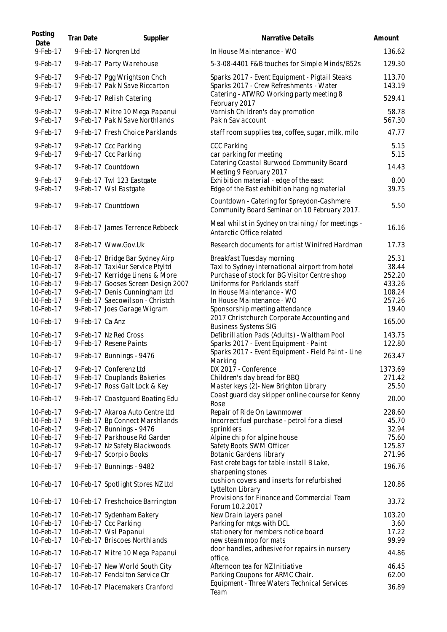| Posting<br>Date        | <b>Tran Date</b> | Supplier                                                         | Narrative Details                                                                          | Amount           |
|------------------------|------------------|------------------------------------------------------------------|--------------------------------------------------------------------------------------------|------------------|
| 9-Feb-17               |                  | 9-Feb-17 Norgren Ltd                                             | In House Maintenance - WO                                                                  | 136.62           |
| 9-Feb-17               |                  | 9-Feb-17 Party Warehouse                                         | 5-3-08-4401 F&B touches for Simple Minds/B52s                                              | 129.30           |
| 9-Feb-17<br>9-Feb-17   |                  | 9-Feb-17 Pgg Wrightson Chch<br>9-Feb-17 Pak N Save Riccarton     | Sparks 2017 - Event Equipment - Pigtail Steaks<br>Sparks 2017 - Crew Refreshments - Water  | 113.70<br>143.19 |
| 9-Feb-17               |                  | 9-Feb-17 Relish Catering                                         | Catering - ATWRO Working party meeting 8<br>February 2017                                  | 529.41           |
| 9-Feb-17<br>9-Feb-17   |                  | 9-Feb-17 Mitre 10 Mega Papanui<br>9-Feb-17 Pak N Save Northlands | Varnish Children's day promotion<br>Pak n Sav account                                      | 58.78<br>567.30  |
| 9-Feb-17               |                  | 9-Feb-17 Fresh Choice Parklands                                  | staff room supplies tea, coffee, sugar, milk, milo                                         | 47.77            |
| 9-Feb-17<br>9-Feb-17   |                  | 9-Feb-17 Ccc Parking<br>9-Feb-17 Ccc Parking                     | <b>CCC Parking</b><br>car parking for meeting                                              | 5.15<br>5.15     |
| 9-Feb-17               |                  | 9-Feb-17 Countdown                                               | Catering Coastal Burwood Community Board<br>Meeting 9 February 2017                        | 14.43            |
| 9-Feb-17<br>9-Feb-17   |                  | 9-Feb-17 Twl 123 Eastgate<br>9-Feb-17 Wsl Eastgate               | Exhibition material - edge of the east<br>Edge of the East exhibition hanging material     | 8.00<br>39.75    |
| 9-Feb-17               |                  | 9-Feb-17 Countdown                                               | Countdown - Catering for Spreydon-Cashmere<br>Community Board Seminar on 10 February 2017. | 5.50             |
| 10-Feb-17              |                  | 8-Feb-17 James Terrence Rebbeck                                  | Meal whilst in Sydney on training / for meetings -<br>Antarctic Office related             | 16.16            |
| 10-Feb-17              |                  | 8-Feb-17 Www.Gov.Uk                                              | Research documents for artist Winifred Hardman                                             | 17.73            |
| 10-Feb-17              |                  | 8-Feb-17 Bridge Bar Sydney Airp                                  | Breakfast Tuesday morning                                                                  | 25.31            |
| 10-Feb-17              |                  | 8-Feb-17 Taxi4ur Service Ptyltd                                  | Taxi to Sydney international airport from hotel                                            | 38.44            |
| 10-Feb-17              |                  | 9-Feb-17 Kerridge Linens & More                                  | Purchase of stock for BG Visitor Centre shop                                               | 252.20           |
| 10-Feb-17              |                  | 9-Feb-17 Gooses Screen Design 2007                               | Uniforms for Parklands staff                                                               | 433.26           |
| 10-Feb-17              |                  | 9-Feb-17 Denis Cunningham Ltd                                    | In House Maintenance - WO                                                                  | 108.24           |
| 10-Feb-17              |                  | 9-Feb-17 Saecowilson - Christch                                  | In House Maintenance - WO                                                                  | 257.26           |
| 10-Feb-17              |                  | 9-Feb-17 Joes Garage Wigram                                      | Sponsorship meeting attendance                                                             | 19.40            |
| 10-Feb-17              | 9-Feb-17 Ca Anz  |                                                                  | 2017 Christchurch Corporate Accounting and<br><b>Business Systems SIG</b>                  | 165.00           |
| 10-Feb-17              |                  | 9-Feb-17 Nz Red Cross                                            | Defibrillation Pads (Adults) - Waltham Pool                                                | 143.75           |
| 10-Feb-17              |                  | 9-Feb-17 Resene Paints                                           | Sparks 2017 - Event Equipment - Paint                                                      | 122.80           |
| 10-Feb-17              |                  | 9-Feb-17 Bunnings - 9476                                         | Sparks 2017 - Event Equipment - Field Paint - Line<br>Marking                              | 263.47           |
| 10-Feb-17              |                  | 9-Feb-17 Conferenz Ltd                                           | DX 2017 - Conference                                                                       | 1373.69          |
| 10-Feb-17              |                  | 9-Feb-17 Couplands Bakeries                                      | Children's day bread for BBQ                                                               | 271.42           |
| 10-Feb-17              |                  | 9-Feb-17 Ross Galt Lock & Key                                    | Master keys (2)- New Brighton Library<br>Coast guard day skipper online course for Kenny   | 25.50            |
| 10-Feb-17              |                  | 9-Feb-17 Coastguard Boating Edu                                  | Rose                                                                                       | 20.00            |
| 10-Feb-17              |                  | 9-Feb-17 Akaroa Auto Centre Ltd                                  | Repair of Ride On Lawnmower                                                                | 228.60           |
| 10-Feb-17              |                  | 9-Feb-17 Bp Connect Marshlands                                   | Incorrect fuel purchase - petrol for a diesel                                              | 45.70            |
| 10-Feb-17              |                  | 9-Feb-17 Bunnings - 9476                                         | sprinklers                                                                                 | 32.94            |
| 10-Feb-17              |                  | 9-Feb-17 Parkhouse Rd Garden                                     | Alpine chip for alpine house                                                               | 75.60            |
| 10-Feb-17              |                  | 9-Feb-17 Nz Safety Blackwoods                                    | Safety Boots SWM Officer                                                                   | 125.87           |
| 10-Feb-17<br>10-Feb-17 |                  | 9-Feb-17 Scorpio Books<br>9-Feb-17 Bunnings - 9482               | Botanic Gardens library<br>Fast crete bags for table install B Lake,                       | 271.96<br>196.76 |
| 10-Feb-17              |                  | 10-Feb-17 Spotlight Stores NZ Ltd                                | sharpening stones<br>cushion covers and inserts for refurbished<br>Lyttelton Library       | 120.86           |
| 10-Feb-17              |                  | 10-Feb-17 Freshchoice Barrington                                 | Provisions for Finance and Commercial Team<br>Forum 10.2.2017                              | 33.72            |
| 10-Feb-17              |                  | 10-Feb-17 Sydenham Bakery                                        | New Drain Layers panel                                                                     | 103.20           |
| 10-Feb-17              |                  | 10-Feb-17 Ccc Parking                                            | Parking for mtgs with DCL                                                                  | 3.60             |
| 10-Feb-17              |                  | 10-Feb-17 Wsl Papanui                                            | stationery for members notice board                                                        | 17.22            |
| 10-Feb-17              |                  | 10-Feb-17 Briscoes Northlands                                    | new steam mop for mats                                                                     | 99.99            |
| 10-Feb-17              |                  | 10-Feb-17 Mitre 10 Mega Papanui                                  | door handles, adhesive for repairs in nursery                                              | 44.86            |
| 10-Feb-17              |                  | 10-Feb-17 New World South City                                   | office.<br>Afternoon tea for NZ Initiative                                                 | 46.45            |
| 10-Feb-17              |                  | 10-Feb-17 Fendalton Service Ctr                                  | Parking Coupons for ARMC Chair.                                                            | 62.00            |
| 10-Feb-17              |                  | 10-Feb-17 Placemakers Cranford                                   | Equipment - Three Waters Technical Services<br>Team                                        | 36.89            |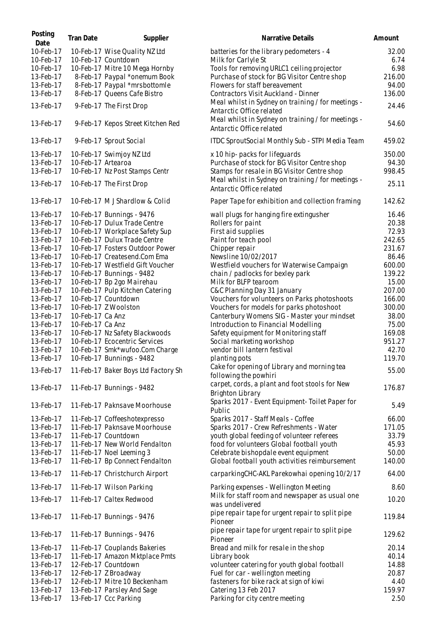| Posting<br>Date | <b>Tran Date</b>   | Supplier                            | Narrative Details                                                                       | Amount |
|-----------------|--------------------|-------------------------------------|-----------------------------------------------------------------------------------------|--------|
| 10-Feb-17       |                    | 10-Feb-17 Wise Quality NZ Ltd       | batteries for the library pedometers - 4                                                | 32.00  |
| 10-Feb-17       |                    | 10-Feb-17 Countdown                 | Milk for Carlyle St                                                                     | 6.74   |
| 10-Feb-17       |                    | 10-Feb-17 Mitre 10 Mega Hornby      | Tools for removing URLC1 ceiling projector                                              | 6.98   |
| 13-Feb-17       |                    | 8-Feb-17 Paypal *onemum Book        | Purchase of stock for BG Visitor Centre shop                                            | 216.00 |
| 13-Feb-17       |                    | 8-Feb-17 Paypal *mrsbottomle        | Flowers for staff bereavement                                                           | 94.00  |
| 13-Feb-17       |                    | 8-Feb-17 Queens Cafe Bistro         | Contractors Visit Auckland - Dinner                                                     | 136.00 |
| 13-Feb-17       |                    | 9-Feb-17 The First Drop             | Meal whilst in Sydney on training / for meetings -<br>Antarctic Office related          | 24.46  |
| 13-Feb-17       |                    | 9-Feb-17 Kepos Street Kitchen Red   | Meal whilst in Sydney on training / for meetings -<br>Antarctic Office related          | 54.60  |
| 13-Feb-17       |                    | 9-Feb-17 Sprout Social              | ITDC SproutSocial Monthly Sub - STPI Media Team                                         | 459.02 |
| 13-Feb-17       |                    | 10-Feb-17 Swimjoy NZ Ltd            | x 10 hip- packs for lifeguards                                                          | 350.00 |
| 13-Feb-17       | 10-Feb-17 Artearoa |                                     | Purchase of stock for BG Visitor Centre shop                                            | 94.30  |
| 13-Feb-17       |                    | 10-Feb-17 Nz Post Stamps Centr      | Stamps for resale in BG Visitor Centre shop                                             | 998.45 |
| 13-Feb-17       |                    | 10-Feb-17 The First Drop            | Meal whilst in Sydney on training / for meetings -<br>Antarctic Office related          | 25.11  |
| 13-Feb-17       |                    | 10-Feb-17 M J Shardlow & Colid      | Paper Tape for exhibition and collection framing                                        | 142.62 |
| 13-Feb-17       |                    | 10-Feb-17 Bunnings - 9476           | wall plugs for hanging fire extingusher                                                 | 16.46  |
| 13-Feb-17       |                    | 10-Feb-17 Dulux Trade Centre        | Rollers for paint                                                                       | 20.38  |
| 13-Feb-17       |                    | 10-Feb-17 Workplace Safety Sup      | First aid supplies                                                                      | 72.93  |
| 13-Feb-17       |                    | 10-Feb-17 Dulux Trade Centre        | Paint for teach pool                                                                    | 242.65 |
| 13-Feb-17       |                    | 10-Feb-17 Fosters Outdoor Power     | Chipper repair                                                                          | 231.67 |
| 13-Feb-17       |                    | 10-Feb-17 Createsend.Com Ema        | Newsline 10/02/2017                                                                     | 86.46  |
| 13-Feb-17       |                    | 10-Feb-17 Westfield Gift Voucher    | Westfield vouchers for Waterwise Campaign                                               | 600.00 |
| 13-Feb-17       |                    | 10-Feb-17 Bunnings - 9482           | chain / padlocks for bexley park                                                        | 139.22 |
| 13-Feb-17       |                    | 10-Feb-17 Bp 2go Mairehau           | Milk for BLFP tearoom                                                                   | 15.00  |
| 13-Feb-17       |                    | 10-Feb-17 Pulp Kitchen Catering     | C&C Planning Day 31 January                                                             | 207.00 |
| 13-Feb-17       |                    | 10-Feb-17 Countdown                 | Vouchers for volunteers on Parks photoshoots                                            | 166.00 |
| 13-Feb-17       |                    | 10-Feb-17 Z Woolston                | Vouchers for models for parks photoshoot                                                | 300.00 |
| 13-Feb-17       | 10-Feb-17 Ca Anz   |                                     | Canterbury Womens SIG - Master your mindset                                             | 38.00  |
| 13-Feb-17       | 10-Feb-17 Ca Anz   |                                     | Introduction to Financial Modelling                                                     | 75.00  |
| 13-Feb-17       |                    | 10-Feb-17 Nz Safety Blackwoods      | Safety equipment for Monitoring staff                                                   | 169.08 |
| 13-Feb-17       |                    | 10-Feb-17 Ecocentric Services       | Social marketing workshop                                                               | 951.27 |
| 13-Feb-17       |                    | 10-Feb-17 Smk*wufoo.Com Charge      | vendor bill lantern festival                                                            | 42.70  |
| 13-Feb-17       |                    | 10-Feb-17 Bunnings - 9482           | planting pots                                                                           | 119.70 |
| 13-Feb-17       |                    | 11-Feb-17 Baker Boys Ltd Factory Sh | Cake for opening of Library and morning tea<br>following the powhiri                    | 55.00  |
| 13-Feb-17       |                    | 11-Feb-17 Bunnings - 9482           | carpet, cords, a plant and foot stools for New<br>Brighton Library                      | 176.87 |
| 13-Feb-17       |                    | 11-Feb-17 Paknsave Moorhouse        | Sparks 2017 - Event Equipment- Toilet Paper for<br>Public                               | 5.49   |
| 13-Feb-17       |                    | 11-Feb-17 Coffeeshotexpresso        | Sparks 2017 - Staff Meals - Coffee                                                      | 66.00  |
| 13-Feb-17       |                    | 11-Feb-17 Paknsave Moorhouse        | Sparks 2017 - Crew Refreshments - Water                                                 | 171.05 |
| 13-Feb-17       |                    | 11-Feb-17 Countdown                 | youth global feeding of volunteer referees                                              | 33.79  |
| 13-Feb-17       |                    | 11-Feb-17 New World Fendalton       | food for volunteers Global football youth                                               | 45.93  |
| 13-Feb-17       |                    | 11-Feb-17 Noel Leeming 3            | Celebrate bishopdale event equipment                                                    | 50.00  |
| 13-Feb-17       |                    | 11-Feb-17 Bp Connect Fendalton      | Global football youth activities reimbursement                                          | 140.00 |
| 13-Feb-17       |                    | 11-Feb-17 Christchurch Airport      | carparkingCHC-AKL Parekowhai opening 10/2/17                                            | 64.00  |
| 13-Feb-17       |                    | 11-Feb-17 Wilson Parking            | Parking expenses - Wellington Meeting<br>Milk for staff room and newspaper as usual one | 8.60   |
| 13-Feb-17       |                    | 11-Feb-17 Caltex Redwood            | was undelivered                                                                         | 10.20  |
| 13-Feb-17       |                    | 11-Feb-17 Bunnings - 9476           | pipe repair tape for urgent repair to split pipe<br>Pioneer                             | 119.84 |
| 13-Feb-17       |                    | 11-Feb-17 Bunnings - 9476           | pipe repair tape for urgent repair to split pipe<br>Pioneer                             | 129.62 |
| 13-Feb-17       |                    | 11-Feb-17 Couplands Bakeries        | Bread and milk for resale in the shop                                                   | 20.14  |
| 13-Feb-17       |                    | 11-Feb-17 Amazon Mktplace Pmts      | Library book                                                                            | 40.14  |
| 13-Feb-17       |                    | 12-Feb-17 Countdown                 | volunteer catering for youth global football                                            | 14.88  |
| 13-Feb-17       |                    | 12-Feb-17 Z Broadway                | Fuel for car - wellington meeting                                                       | 20.87  |
| 13-Feb-17       |                    | 12-Feb-17 Mitre 10 Beckenham        | fasteners for bike rack at sign of kiwi                                                 | 4.40   |
| 13-Feb-17       |                    | 13-Feb-17 Parsley And Sage          | Catering 13 Feb 2017                                                                    | 159.97 |
| 13-Feb-17       |                    | 13-Feb-17 Ccc Parking               | Parking for city centre meeting                                                         | 2.50   |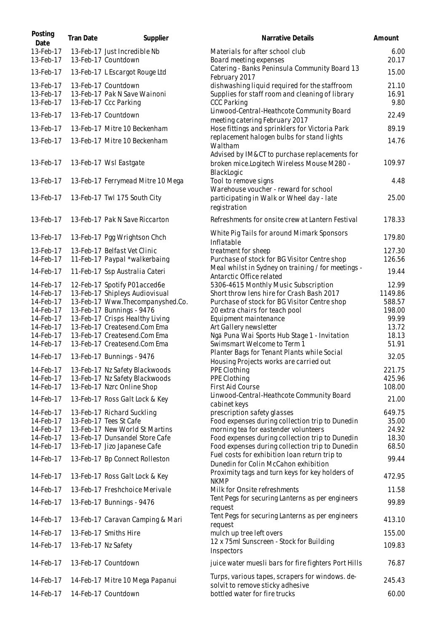| Posting<br>Date                     | <b>Tran Date</b>    | Supplier                                                                     | Narrative Details                                                                                                      | Amount                 |
|-------------------------------------|---------------------|------------------------------------------------------------------------------|------------------------------------------------------------------------------------------------------------------------|------------------------|
| 13-Feb-17<br>13-Feb-17              |                     | 13-Feb-17 Just Incredible Nb<br>13-Feb-17 Countdown                          | Materials for after school club<br>Board meeting expenses                                                              | 6.00<br>20.17          |
| 13-Feb-17                           |                     | 13-Feb-17 L Escargot Rouge Ltd                                               | Catering - Banks Peninsula Community Board 13<br>February 2017                                                         | 15.00                  |
| 13-Feb-17<br>13-Feb-17<br>13-Feb-17 |                     | 13-Feb-17 Countdown<br>13-Feb-17 Pak N Save Wainoni<br>13-Feb-17 Ccc Parking | dishwashing liquid required for the staffroom<br>Supplies for staff room and cleaning of library<br><b>CCC Parking</b> | 21.10<br>16.91<br>9.80 |
| 13-Feb-17                           |                     | 13-Feb-17 Countdown                                                          | Linwood-Central-Heathcote Community Board<br>meeting catering February 2017                                            | 22.49                  |
| 13-Feb-17                           |                     | 13-Feb-17 Mitre 10 Beckenham                                                 | Hose fittings and sprinklers for Victoria Park                                                                         | 89.19                  |
| 13-Feb-17                           |                     | 13-Feb-17 Mitre 10 Beckenham                                                 | replacement halogen bulbs for stand lights<br>Waltham<br>Advised by IM&CT to purchase replacements for                 | 14.76                  |
| 13-Feb-17                           |                     | 13-Feb-17 Wsl Eastgate                                                       | broken mice.Logitech Wireless Mouse M280 -<br>BlackLogic                                                               | 109.97                 |
| 13-Feb-17                           |                     | 13-Feb-17 Ferrymead Mitre 10 Mega                                            | Tool to remove signs<br>Warehouse voucher - reward for school                                                          | 4.48                   |
| 13-Feb-17                           |                     | 13-Feb-17 Twl 175 South City                                                 | participating in Walk or Wheel day - late<br>registration                                                              | 25.00                  |
| 13-Feb-17                           |                     | 13-Feb-17 Pak N Save Riccarton                                               | Refreshments for onsite crew at Lantern Festival                                                                       | 178.33                 |
| 13-Feb-17                           |                     | 13-Feb-17 Pgg Wrightson Chch                                                 | White Pig Tails for around Mimark Sponsors<br>Inflatable                                                               | 179.80                 |
| 13-Feb-17<br>14-Feb-17              |                     | 13-Feb-17 Belfast Vet Clinic                                                 | treatment for sheep<br>Purchase of stock for BG Visitor Centre shop                                                    | 127.30<br>126.56       |
| 14-Feb-17                           |                     | 11-Feb-17 Paypal *walkerbaing<br>11-Feb-17 Ssp Australia Cateri              | Meal whilst in Sydney on training / for meetings -                                                                     | 19.44                  |
| 14-Feb-17                           |                     | 12-Feb-17 Spotify P01acced6e                                                 | Antarctic Office related<br>5306-4615 Monthly Music Subscription                                                       | 12.99                  |
| 14-Feb-17                           |                     | 13-Feb-17 Shipleys Audiovisual                                               | Short throw lens hire for Crash Bash 2017                                                                              | 1149.86                |
| 14-Feb-17                           |                     | 13-Feb-17 Www.Thecompanyshed.Co.                                             | Purchase of stock for BG Visitor Centre shop                                                                           | 588.57                 |
| 14-Feb-17                           |                     | 13-Feb-17 Bunnings - 9476                                                    | 20 extra chairs for teach pool                                                                                         | 198.00                 |
| 14-Feb-17                           |                     | 13-Feb-17 Crisps Healthy Living                                              | Equipment maintenance                                                                                                  | 99.99                  |
| 14-Feb-17                           |                     | 13-Feb-17 Createsend.Com Ema                                                 | Art Gallery newsletter                                                                                                 | 13.72                  |
| 14-Feb-17                           |                     | 13-Feb-17 Createsend.Com Ema                                                 | Ngā Puna Wai Sports Hub Stage 1 - Invitation                                                                           | 18.13                  |
| 14-Feb-17                           |                     | 13-Feb-17 Createsend.Com Ema                                                 | Swimsmart Welcome to Term 1                                                                                            | 51.91                  |
| 14-Feb-17                           |                     | 13-Feb-17 Bunnings - 9476                                                    | Planter Bags for Tenant Plants while Social<br>Housing Projects works are carried out                                  | 32.05                  |
| 14-Feb-17                           |                     | 13-Feb-17 Nz Safety Blackwoods                                               | PPE Clothing                                                                                                           | 221.75                 |
| 14-Feb-17                           |                     | 13-Feb-17 Nz Safety Blackwoods                                               | PPE Clothing                                                                                                           | 425.96                 |
| 14-Feb-17                           |                     | 13-Feb-17 Nzrc Online Shop                                                   | <b>First Aid Course</b>                                                                                                | 108.00                 |
| 14-Feb-17                           |                     | 13-Feb-17 Ross Galt Lock & Key                                               | Linwood-Central-Heathcote Community Board<br>cabinet keys                                                              | 21.00                  |
| 14-Feb-17                           |                     | 13-Feb-17 Richard Suckling                                                   | prescription safety glasses                                                                                            | 649.75                 |
| 14-Feb-17                           |                     | 13-Feb-17 Tees St Cafe                                                       | Food expenses during collection trip to Dunedin                                                                        | 35.00                  |
| 14-Feb-17<br>14-Feb-17              |                     | 13-Feb-17 New World St Martins                                               | morning tea for eastender volunteers                                                                                   | 24.92                  |
| 14-Feb-17                           |                     | 13-Feb-17 Dunsandel Store Cafe<br>13-Feb-17 Jizo Japanese Cafe               | Food expenses during collection trip to Dunedin<br>Food expenses during collection trip to Dunedin                     | 18.30<br>68.50         |
| 14-Feb-17                           |                     | 13-Feb-17 Bp Connect Rolleston                                               | Fuel costs for exhibition loan return trip to<br>Dunedin for Colin McCahon exhibition                                  | 99.44                  |
| 14-Feb-17                           |                     | 13-Feb-17 Ross Galt Lock & Key                                               | Proximity tags and turn keys for key holders of<br><b>NKMP</b>                                                         | 472.95                 |
| 14-Feb-17                           |                     | 13-Feb-17 Freshchoice Merivale                                               | Milk for Onsite refreshments                                                                                           | 11.58                  |
| 14-Feb-17                           |                     | 13-Feb-17 Bunnings - 9476                                                    | Tent Pegs for securing Lanterns as per engineers<br>request                                                            | 99.89                  |
| 14-Feb-17                           |                     | 13-Feb-17 Caravan Camping & Mari                                             | Tent Pegs for securing Lanterns as per engineers<br>request                                                            | 413.10                 |
| 14-Feb-17                           |                     | 13-Feb-17 Smiths Hire                                                        | mulch up tree left overs<br>12 x 75ml Sunscreen - Stock for Building                                                   | 155.00                 |
| 14-Feb-17                           | 13-Feb-17 Nz Safety |                                                                              | Inspectors                                                                                                             | 109.83                 |
| 14-Feb-17                           |                     | 13-Feb-17 Countdown                                                          | juice water muesli bars for fire fighters Port Hills                                                                   | 76.87                  |
| 14-Feb-17                           |                     | 14-Feb-17 Mitre 10 Mega Papanui                                              | Turps, various tapes, scrapers for windows. de-<br>solvit to remove sticky adhesive                                    | 245.43                 |
| 14-Feb-17                           |                     | 14-Feb-17 Countdown                                                          | bottled water for fire trucks                                                                                          | 60.00                  |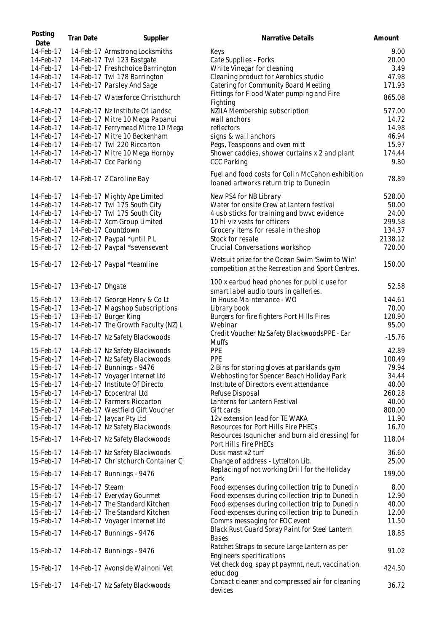| Posting<br>Date | <b>Tran Date</b> | Supplier                            | Narrative Details                                                                                  | Amount   |
|-----------------|------------------|-------------------------------------|----------------------------------------------------------------------------------------------------|----------|
| 14-Feb-17       |                  | 14-Feb-17 Armstrong Locksmiths      | Keys                                                                                               | 9.00     |
| 14-Feb-17       |                  | 14-Feb-17 Twl 123 Eastgate          | Cafe Supplies - Forks                                                                              | 20.00    |
| 14-Feb-17       |                  | 14-Feb-17 Freshchoice Barrington    | White Vinegar for cleaning                                                                         | 3.49     |
| 14-Feb-17       |                  | 14-Feb-17 Twl 178 Barrington        | Cleaning product for Aerobics studio                                                               | 47.98    |
| 14-Feb-17       |                  | 14-Feb-17 Parsley And Sage          | Catering for Community Board Meeting                                                               | 171.93   |
|                 |                  |                                     |                                                                                                    |          |
| 14-Feb-17       |                  | 14-Feb-17 Waterforce Christchurch   | Fittings for Flood Water pumping and Fire                                                          | 865.08   |
|                 |                  |                                     | Fighting                                                                                           |          |
| 14-Feb-17       |                  | 14-Feb-17 Nz Institute Of Landsc    | NZILA Membership subscription                                                                      | 577.00   |
| 14-Feb-17       |                  | 14-Feb-17 Mitre 10 Mega Papanui     | wall anchors                                                                                       | 14.72    |
| 14-Feb-17       |                  | 14-Feb-17 Ferrymead Mitre 10 Mega   | reflectors                                                                                         | 14.98    |
| 14-Feb-17       |                  | 14-Feb-17 Mitre 10 Beckenham        | signs & wall anchors                                                                               | 46.94    |
| 14-Feb-17       |                  | 14-Feb-17 Twl 220 Riccarton         | Pegs, Teaspoons and oven mitt                                                                      | 15.97    |
| 14-Feb-17       |                  | 14-Feb-17 Mitre 10 Mega Hornby      | Shower caddies, shower curtains x 2 and plant                                                      | 174.44   |
| 14-Feb-17       |                  | 14-Feb-17 Ccc Parking               | <b>CCC Parking</b>                                                                                 | 9.80     |
|                 |                  |                                     |                                                                                                    |          |
| 14-Feb-17       |                  | 14-Feb-17 Z Caroline Bay            | Fuel and food costs for Colin McCahon exhibition<br>loaned artworks return trip to Dunedin         | 78.89    |
| 14-Feb-17       |                  | 14-Feb-17 Mighty Ape Limited        | New PS4 for NB Library                                                                             | 528.00   |
| 14-Feb-17       |                  | 14-Feb-17 Twl 175 South City        | Water for onsite Crew at Lantern festival                                                          | 50.00    |
|                 |                  |                                     |                                                                                                    |          |
| 14-Feb-17       |                  | 14-Feb-17 Twl 175 South City        | 4 usb sticks for training and bwvc evidence                                                        | 24.00    |
| 14-Feb-17       |                  | 14-Feb-17 Xcm Group Limited         | 10 hi viz vests for officers                                                                       | 299.58   |
| 14-Feb-17       |                  | 14-Feb-17 Countdown                 | Grocery items for resale in the shop                                                               | 134.37   |
| 15-Feb-17       |                  | 12-Feb-17 Paypal *until PL          | Stock for resale                                                                                   | 2138.12  |
| 15-Feb-17       |                  | 12-Feb-17 Paypal *sevensevent       | Crucial Conversations workshop                                                                     | 720.00   |
| 15-Feb-17       |                  | 12-Feb-17 Paypal *teamline          | Wetsuit prize for the Ocean Swim 'Swim to Win'<br>competition at the Recreation and Sport Centres. | 150.00   |
| 15-Feb-17       | 13-Feb-17 Dhgate |                                     | 100 x earbud head phones for public use for<br>smart label audio tours in galleries.               | 52.58    |
| 15-Feb-17       |                  | 13-Feb-17 George Henry & Co Lt      | In House Maintenance - WO                                                                          | 144.61   |
|                 |                  |                                     |                                                                                                    |          |
| 15-Feb-17       |                  | 13-Feb-17 Magshop Subscriptions     | Library book                                                                                       | 70.00    |
| 15-Feb-17       |                  | 13-Feb-17 Burger King               | Burgers for fire fighters Port Hills Fires                                                         | 120.90   |
| 15-Feb-17       |                  | 14-Feb-17 The Growth Faculty (NZ) L | Webinar                                                                                            | 95.00    |
| 15-Feb-17       |                  | 14-Feb-17 Nz Safety Blackwoods      | Credit Voucher Nz Safety BlackwoodsPPE - Ear<br><b>Muffs</b>                                       | $-15.76$ |
| 15-Feb-17       |                  | 14-Feb-17 Nz Safety Blackwoods      | PPE                                                                                                | 42.89    |
| 15-Feb-17       |                  | 14-Feb-17 Nz Safety Blackwoods      | PPE                                                                                                | 100.49   |
| 15-Feb-17       |                  | 14-Feb-17 Bunnings - 9476           | 2 Bins for storing gloves at parklands gym                                                         | 79.94    |
| 15-Feb-17       |                  | 14-Feb-17 Voyager Internet Ltd      | Webhosting for Spencer Beach Holiday Park                                                          | 34.44    |
|                 |                  | 14-Feb-17 Institute Of Directo      | Institute of Directors event attendance                                                            | 40.00    |
| 15-Feb-17       |                  |                                     |                                                                                                    |          |
| 15-Feb-17       |                  | 14-Feb-17 Ecocentral Ltd            | Refuse Disposal                                                                                    | 260.28   |
| 15-Feb-17       |                  | 14-Feb-17 Farmers Riccarton         | Lanterns for Lantern Festival                                                                      | 40.00    |
| 15-Feb-17       |                  | 14-Feb-17 Westfield Gift Voucher    | Gift cards                                                                                         | 800.00   |
| 15-Feb-17       |                  | 14-Feb-17 Jaycar Pty Ltd            | 12v extension lead for TE WAKA                                                                     | 11.90    |
| 15-Feb-17       |                  | 14-Feb-17 Nz Safety Blackwoods      | Resources for Port Hills Fire PHECs                                                                | 16.70    |
| 15-Feb-17       |                  | 14-Feb-17 Nz Safety Blackwoods      | Resources (squnicher and burn aid dressing) for<br>Port Hills Fire PHECs                           | 118.04   |
| 15-Feb-17       |                  | 14-Feb-17 Nz Safety Blackwoods      | Dusk mast x2 turf                                                                                  | 36.60    |
| 15-Feb-17       |                  | 14-Feb-17 Christchurch Container Ci | Change of address - Lyttelton Lib.                                                                 | 25.00    |
| 15-Feb-17       |                  | 14-Feb-17 Bunnings - 9476           | Replacing of not working Drill for the Holiday<br>Park                                             | 199.00   |
| 15-Feb-17       | 14-Feb-17 Steam  |                                     | Food expenses during collection trip to Dunedin                                                    | 8.00     |
| 15-Feb-17       |                  | 14-Feb-17 Everyday Gourmet          | Food expenses during collection trip to Dunedin                                                    | 12.90    |
| 15-Feb-17       |                  | 14-Feb-17 The Standard Kitchen      | Food expenses during collection trip to Dunedin                                                    | 40.00    |
| 15-Feb-17       |                  | 14-Feb-17 The Standard Kitchen      | Food expenses during collection trip to Dunedin                                                    | 12.00    |
| 15-Feb-17       |                  | 14-Feb-17 Voyager Internet Ltd      | Comms messaging for EOC event                                                                      | 11.50    |
|                 |                  |                                     |                                                                                                    |          |
| 15-Feb-17       |                  | 14-Feb-17 Bunnings - 9476           | Black Rust Guard Spray Paint for Steel Lantern<br><b>Bases</b>                                     | 18.85    |
| 15-Feb-17       |                  | 14-Feb-17 Bunnings - 9476           | Ratchet Straps to secure Large Lantern as per<br>Engineers specifications                          | 91.02    |
| 15-Feb-17       |                  | 14-Feb-17 Avonside Wainoni Vet      | Vet check dog, spay pt paymnt, neut, vaccination<br>educ dog                                       | 424.30   |
| 15-Feb-17       |                  | 14-Feb-17 Nz Safety Blackwoods      | Contact cleaner and compressed air for cleaning<br>devices                                         | 36.72    |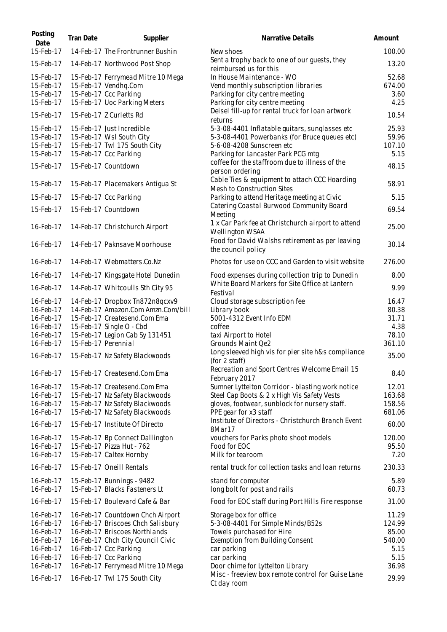| Posting<br>Date        | <b>Tran Date</b> | Supplier                                                           | Narrative Details                                                           | Amount          |
|------------------------|------------------|--------------------------------------------------------------------|-----------------------------------------------------------------------------|-----------------|
| 15-Feb-17              |                  | 14-Feb-17 The Frontrunner Bushin                                   | New shoes                                                                   | 100.00          |
| 15-Feb-17              |                  | 14-Feb-17 Northwood Post Shop                                      | Sent a trophy back to one of our guests, they<br>reimbursed us for this     | 13.20           |
| 15-Feb-17              |                  | 15-Feb-17 Ferrymead Mitre 10 Mega                                  | In House Maintenance - WO                                                   | 52.68           |
| 15-Feb-17              |                  | 15-Feb-17 Vendhq.Com                                               | Vend monthly subscription libraries                                         | 674.00          |
| 15-Feb-17              |                  | 15-Feb-17 Ccc Parking                                              | Parking for city centre meeting                                             | 3.60            |
| 15-Feb-17              |                  | 15-Feb-17 Uoc Parking Meters                                       | Parking for city centre meeting                                             | 4.25            |
| 15-Feb-17              |                  | 15-Feb-17 Z Curletts Rd                                            | Deisel fill-up for rental truck for loan artwork<br>returns                 | 10.54           |
| 15-Feb-17              |                  | 15-Feb-17 Just Incredible                                          | 5-3-08-4401 Inflatable guitars, sunglasses etc                              | 25.93           |
| 15-Feb-17              |                  | 15-Feb-17 Wsl South City                                           | 5-3-08-4401 Powerbanks (for Bruce queues etc)                               | 59.96           |
| 15-Feb-17              |                  | 15-Feb-17 Twl 175 South City                                       | 5-6-08-4208 Sunscreen etc                                                   | 107.10          |
| 15-Feb-17              |                  | 15-Feb-17 Ccc Parking                                              | Parking for Lancaster Park PCG mtg                                          | 5.15            |
| 15-Feb-17              |                  | 15-Feb-17 Countdown                                                | coffee for the staffroom due to illness of the<br>person ordering           | 48.15           |
| 15-Feb-17              |                  | 15-Feb-17 Placemakers Antigua St                                   | Cable Ties & equipment to attach CCC Hoarding                               | 58.91           |
| 15-Feb-17              |                  | 15-Feb-17 Ccc Parking                                              | Mesh to Construction Sites<br>Parking to attend Heritage meeting at Civic   | 5.15            |
|                        |                  |                                                                    | Catering Coastal Burwood Community Board                                    | 69.54           |
| 15-Feb-17              |                  | 15-Feb-17 Countdown                                                | Meeting                                                                     |                 |
| 16-Feb-17              |                  | 14-Feb-17 Christchurch Airport                                     | 1 x Car Park fee at Christchurch airport to attend                          | 25.00           |
|                        |                  |                                                                    | Wellington WSAA                                                             |                 |
| 16-Feb-17              |                  | 14-Feb-17 Paknsave Moorhouse                                       | Food for David Walshs retirement as per leaving<br>the council policy       | 30.14           |
| 16-Feb-17              |                  | 14-Feb-17 Webmatters.Co.Nz                                         | Photos for use on CCC and Garden to visit website                           | 276.00          |
| 16-Feb-17              |                  | 14-Feb-17 Kingsgate Hotel Dunedin                                  | Food expenses during collection trip to Dunedin                             | 8.00            |
| 16-Feb-17              |                  | 14-Feb-17 Whitcoulls Sth City 95                                   | White Board Markers for Site Office at Lantern<br>Festival                  | 9.99            |
| 16-Feb-17              |                  | 14-Feb-17 Dropbox Tn872n8qcxv9                                     | Cloud storage subscription fee                                              | 16.47           |
| 16-Feb-17              |                  | 14-Feb-17 Amazon.Com Amzn.Com/bill                                 | Library book                                                                | 80.38           |
| 16-Feb-17              |                  | 15-Feb-17 Createsend.Com Ema                                       | 5001-4312 Event Info EDM                                                    | 31.71           |
| 16-Feb-17              |                  | 15-Feb-17 Single O - Cbd                                           | coffee                                                                      | 4.38            |
| 16-Feb-17<br>16-Feb-17 |                  | 15-Feb-17 Legion Cab Sy 131451<br>15-Feb-17 Perennial              | taxi Airport to Hotel<br>Grounds Maint Qe2                                  | 78.10<br>361.10 |
|                        |                  |                                                                    | Long sleeved high vis for pier site h&s compliance                          |                 |
| 16-Feb-17              |                  | 15-Feb-17 Nz Safety Blackwoods                                     | (for 2 staff)                                                               | 35.00           |
| 16-Feb-17              |                  | 15-Feb-17 Createsend.Com Ema                                       | Recreation and Sport Centres Welcome Email 15<br>February 2017              | 8.40            |
| 16-Feb-17              |                  | 15-Feb-17 Createsend.Com Ema                                       | Sumner Lyttelton Corridor - blasting work notice                            | 12.01           |
| 16-Feb-17              |                  | 15-Feb-17 Nz Safety Blackwoods                                     | Steel Cap Boots & 2 x High Vis Safety Vests                                 | 163.68          |
| 16-Feb-17              |                  | 15-Feb-17 Nz Safety Blackwoods                                     | gloves, footwear, sunblock for nursery staff.                               | 158.56          |
| 16-Feb-17              |                  | 15-Feb-17 Nz Safety Blackwoods                                     | PPE gear for x3 staff<br>Institute of Directors - Christchurch Branch Event | 681.06          |
| 16-Feb-17              |                  | 15-Feb-17 Institute Of Directo                                     | 8Mar17                                                                      | 60.00           |
| 16-Feb-17              |                  | 15-Feb-17 Bp Connect Dallington                                    | vouchers for Parks photo shoot models                                       | 120.00          |
| 16-Feb-17              |                  | 15-Feb-17 Pizza Hut - 762                                          | Food for EOC                                                                | 95.50           |
| 16-Feb-17              |                  | 15-Feb-17 Caltex Hornby                                            | Milk for tearoom                                                            | 7.20            |
| 16-Feb-17              |                  | 15-Feb-17 Oneill Rentals                                           | rental truck for collection tasks and loan returns                          | 230.33          |
| 16-Feb-17              |                  | 15-Feb-17 Bunnings - 9482                                          | stand for computer                                                          | 5.89            |
| 16-Feb-17              |                  | 15-Feb-17 Blacks Fasteners Lt                                      | long bolt for post and rails                                                | 60.73           |
| 16-Feb-17              |                  | 15-Feb-17 Boulevard Cafe & Bar                                     | Food for EOC staff during Port Hills Fire response                          | 31.00           |
| 16-Feb-17              |                  | 16-Feb-17 Countdown Chch Airport                                   | Storage box for office                                                      | 11.29           |
| 16-Feb-17              |                  | 16-Feb-17 Briscoes Chch Salisbury                                  | 5-3-08-4401 For Simple Minds/B52s                                           | 124.99          |
| 16-Feb-17<br>16-Feb-17 |                  | 16-Feb-17 Briscoes Northlands<br>16-Feb-17 Chch City Council Civic | Towels purchased for Hire<br>Exemption from Building Consent                | 85.00<br>540.00 |
| 16-Feb-17              |                  | 16-Feb-17 Ccc Parking                                              | car parking                                                                 | 5.15            |
| 16-Feb-17              |                  | 16-Feb-17 Ccc Parking                                              | car parking                                                                 | 5.15            |
| 16-Feb-17              |                  | 16-Feb-17 Ferrymead Mitre 10 Mega                                  | Door chime for Lyttelton Library                                            | 36.98           |
| 16-Feb-17              |                  | 16-Feb-17 Twl 175 South City                                       | Misc - freeview box remote control for Guise Lane<br>Ct day room            | 29.99           |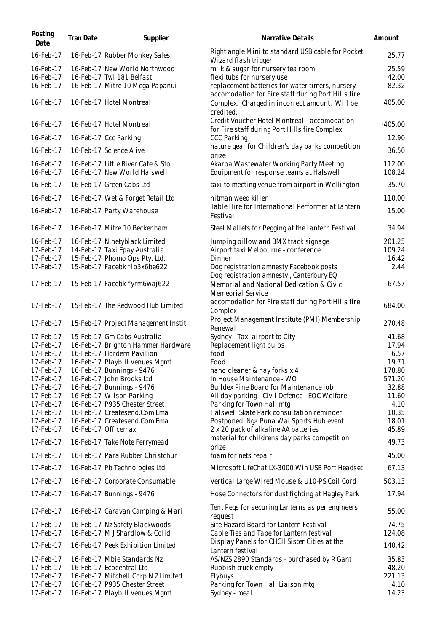| Posting<br>Date        | Tran Date | Supplier                                                        | Narrative Details                                                                                     | Amount         |
|------------------------|-----------|-----------------------------------------------------------------|-------------------------------------------------------------------------------------------------------|----------------|
| 16-Feb-17              |           | 16-Feb-17 Rubber Monkey Sales                                   | Right angle Mini to standard USB cable for Pocket<br>Wizard flash trigger                             | 25.77          |
| 16-Feb-17              |           | 16-Feb-17 New World Northwood                                   | milk & sugar for nursery tea room.                                                                    | 25.59          |
| 16-Feb-17              |           | 16-Feb-17 Twl 181 Belfast                                       | flexi tubs for nursery use                                                                            | 42.00          |
| 16-Feb-17              |           | 16-Feb-17 Mitre 10 Mega Papanui                                 | replacement batteries for water timers, nursery<br>accomodation for Fire staff during Port Hills fire | 82.32          |
| 16-Feb-17              |           | 16-Feb-17 Hotel Montreal                                        | Complex. Charged in incorrect amount. Will be<br>credited.                                            | 405.00         |
| 16-Feb-17              |           | 16-Feb-17 Hotel Montreal                                        | Credit Voucher Hotel Montreal - accomodation<br>for Fire staff during Port Hills fire Complex         | $-405.00$      |
| 16-Feb-17              |           | 16-Feb-17 Ccc Parking                                           | <b>CCC Parking</b>                                                                                    | 12.90          |
| 16-Feb-17              |           | 16-Feb-17 Science Alive                                         | nature gear for Children's day parks competition<br>prize                                             | 36.50          |
| 16-Feb-17              |           | 16-Feb-17 Little River Cafe & Sto                               | Akaroa Wastewater Working Party Meeting                                                               | 112.00         |
| 16-Feb-17              |           | 16-Feb-17 New World Halswell                                    | Equipment for response teams at Halswell                                                              | 108.24         |
| 16-Feb-17              |           | 16-Feb-17 Green Cabs Ltd                                        | taxi to meeting venue from airport in Wellington                                                      | 35.70          |
| 16-Feb-17              |           | 16-Feb-17 Wet & Forget Retail Ltd                               | hitman weed killer                                                                                    | 110.00         |
| 16-Feb-17              |           | 16-Feb-17 Party Warehouse                                       | Table Hire for International Performer at Lantern<br>Festival                                         | 15.00          |
| 16-Feb-17              |           | 16-Feb-17 Mitre 10 Beckenham                                    | Steel Mallets for Pegging at the Lantern Festival                                                     | 34.94          |
| 16-Feb-17              |           | 16-Feb-17 Ninetyblack Limited                                   | Jumping pillow and BMX track signage                                                                  | 201.25         |
| 17-Feb-17              |           | 14-Feb-17 Taxi Epay Australia                                   | Airport taxi Melbourne - conference                                                                   | 109.24         |
| 17-Feb-17              |           | 15-Feb-17 Phomo Ops Pty. Ltd.                                   | Dinner                                                                                                | 16.42          |
| 17-Feb-17              |           | 15-Feb-17 Facebk *lb3x6be622                                    | Dog registration amnesty Facebook posts<br>Dog registration amnesty, Canterbury EQ                    | 2.44           |
| 17-Feb-17              |           | 15-Feb-17 Facebk *yrm6waj622                                    | Memorial and National Dedication & Civic<br>Memeorial Service                                         | 67.57          |
| 17-Feb-17              |           | 15-Feb-17 The Redwood Hub Limited                               | accomodation for Fire staff during Port Hills fire<br>Complex                                         | 684.00         |
| 17-Feb-17              |           | 15-Feb-17 Project Management Instit                             | Project Management Institute (PMI) Membership<br>Renewal                                              | 270.48         |
| 17-Feb-17              |           | 15-Feb-17 Gm Cabs Australia                                     | Sydney - Taxi airport to City                                                                         | 41.68          |
| 17-Feb-17              |           | 16-Feb-17 Brighton Hammer Hardware                              | Replacement light bulbs                                                                               | 17.94          |
| 17-Feb-17              |           | 16-Feb-17 Hordern Pavilion                                      | food                                                                                                  | 6.57           |
| 17-Feb-17              |           | 16-Feb-17 Playbill Venues Mgmt                                  | Food                                                                                                  | 19.71          |
| 17-Feb-17              |           | 16-Feb-17 Bunnings - 9476                                       | hand cleaner & hay forks x 4                                                                          | 178.80         |
| 17-Feb-17              |           | 16-Feb-17 John Brooks Ltd                                       | In House Maintenance - WO                                                                             | 571.20         |
| 17-Feb-17              |           | 16-Feb-17 Bunnings - 9476                                       | Buildex Pine Board for Maintenance job                                                                | 32.88          |
| 17-Feb-17              |           | 16-Feb-17 Wilson Parking                                        | All day parking - Civil Defence - EOC Welfare                                                         | 11.60          |
| 17-Feb-17<br>17-Feb-17 |           | 16-Feb-17 P935 Chester Street                                   | Parking for Town Hall mtg<br>Halswell Skate Park consultation reminder                                | 4.10           |
| 17-Feb-17              |           | 16-Feb-17 Createsend.Com Ema<br>16-Feb-17 Createsend.Com Ema    | Postponed: Ngā Puna Wai Sports Hub event                                                              | 10.35<br>18.01 |
| 17-Feb-17              |           | 16-Feb-17 Officemax                                             | 2 x 20 pack of alkaline AA batteries                                                                  | 45.89          |
| 17-Feb-17              |           | 16-Feb-17 Take Note Ferrymead                                   | material for childrens day parks competition                                                          | 49.73          |
| 17-Feb-17              |           | 16-Feb-17 Para Rubber Christchur                                | prize<br>foam for nets repair                                                                         | 45.00          |
| 17-Feb-17              |           | 16-Feb-17 Pb Technologies Ltd                                   | Microsoft LifeChat LX-3000 Win USB Port Headset                                                       | 67.13          |
| 17-Feb-17              |           | 16-Feb-17 Corporate Consumable                                  | Vertical Large Wired Mouse & U10-PS Coil Cord                                                         | 503.13         |
| 17-Feb-17              |           | 16-Feb-17 Bunnings - 9476                                       | Hose Connectors for dust fighting at Hagley Park                                                      | 17.94          |
| 17-Feb-17              |           | 16-Feb-17 Caravan Camping & Mari                                | Tent Pegs for securing Lanterns as per engineers<br>request                                           | 55.00          |
| 17-Feb-17              |           | 16-Feb-17 Nz Safety Blackwoods                                  | Site Hazard Board for Lantern Festival                                                                | 74.75          |
| 17-Feb-17              |           | 16-Feb-17 M J Shardlow & Colid                                  | Cable Ties and Tape for Lantern festival<br>Display Panels for CHCH Sister Cities at the              | 124.08         |
| 17-Feb-17              |           | 16-Feb-17 Peek Exhibition Limited                               | Lantern festival                                                                                      | 140.42         |
| 17-Feb-17              |           | 16-Feb-17 Mbie Standards Nz                                     | AS/NZS 2890 Standards - purchased by R Gant                                                           | 35.83          |
| 17-Feb-17              |           | 16-Feb-17 Ecocentral Ltd                                        | Rubbish truck empty                                                                                   | 48.20          |
| 17-Feb-17<br>17-Feb-17 |           | 16-Feb-17 Mitchell Corp N Z Limited                             | Flybuys                                                                                               | 221.13         |
| 17-Feb-17              |           | 16-Feb-17 P935 Chester Street<br>16-Feb-17 Playbill Venues Mgmt | Parking for Town Hall Liaison mtg<br>Sydney - meal                                                    | 4.10<br>14.23  |
|                        |           |                                                                 |                                                                                                       |                |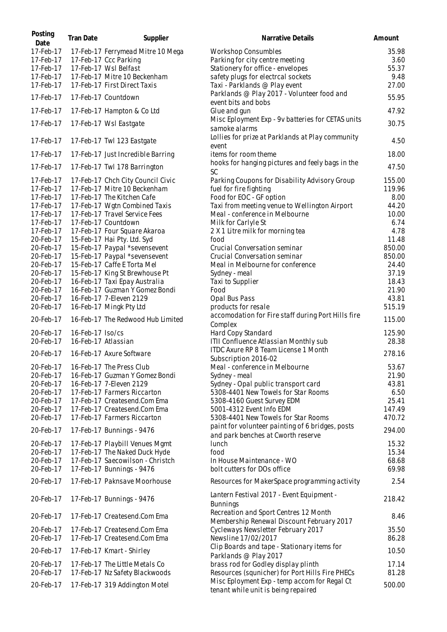| Posting<br>Date        | <b>Tran Date</b>    | Supplier                                                       | Narrative Details                                                                       | Amount           |
|------------------------|---------------------|----------------------------------------------------------------|-----------------------------------------------------------------------------------------|------------------|
| 17-Feb-17              |                     | 17-Feb-17 Ferrymead Mitre 10 Mega                              | <b>Workshop Consumbles</b>                                                              | 35.98            |
| 17-Feb-17              |                     | 17-Feb-17 Ccc Parking                                          | Parking for city centre meeting                                                         | 3.60             |
| 17-Feb-17              |                     | 17-Feb-17 Wsl Belfast                                          | Stationery for office - envelopes                                                       | 55.37            |
| 17-Feb-17              |                     | 17-Feb-17 Mitre 10 Beckenham                                   | safety plugs for electrcal sockets                                                      | 9.48             |
| 17-Feb-17              |                     | 17-Feb-17 First Direct Taxis                                   | Taxi - Parklands @ Play event                                                           | 27.00            |
| 17-Feb-17              |                     | 17-Feb-17 Countdown                                            | Parklands @ Play 2017 - Volunteer food and<br>event bits and bobs                       | 55.95            |
| 17-Feb-17              |                     | 17-Feb-17 Hampton & Co Ltd                                     | Glue and gun                                                                            | 47.92            |
| 17-Feb-17              |                     | 17-Feb-17 Wsl Eastgate                                         | Misc Eployment Exp - 9v batteries for CETAS units<br>samoke alarms                      | 30.75            |
| 17-Feb-17              |                     | 17-Feb-17 Twl 123 Eastgate                                     | Lollies for prize at Parklands at Play community<br>event                               | 4.50             |
| 17-Feb-17              |                     | 17-Feb-17 Just Incredible Barring                              | items for room theme                                                                    | 18.00            |
| 17-Feb-17              |                     | 17-Feb-17 Twl 178 Barrington                                   | hooks for hanging pictures and feely bags in the<br>SC                                  | 47.50            |
| 17-Feb-17              |                     | 17-Feb-17 Chch City Council Civic                              | Parking Coupons for Disability Advisory Group                                           | 155.00           |
| 17-Feb-17              |                     | 17-Feb-17 Mitre 10 Beckenham                                   | fuel for fire fighting                                                                  | 119.96           |
| 17-Feb-17              |                     | 17-Feb-17 The Kitchen Cafe                                     | Food for EOC - GF option                                                                | 8.00             |
| 17-Feb-17              |                     | 17-Feb-17 Wgtn Combined Taxis                                  | Taxi from meeting venue to Wellington Airport                                           | 44.20            |
| 17-Feb-17              |                     | 17-Feb-17 Travel Service Fees                                  | Meal - conference in Melbourne                                                          | 10.00            |
| 17-Feb-17              |                     | 17-Feb-17 Countdown                                            | Milk for Carlyle St                                                                     | 6.74             |
| 17-Feb-17              |                     | 17-Feb-17 Four Square Akaroa                                   | 2 X 1 Litre milk for morning tea                                                        | 4.78             |
| 20-Feb-17<br>20-Feb-17 |                     | 15-Feb-17 Hai Pty. Ltd. Syd                                    | food                                                                                    | 11.48<br>850.00  |
| 20-Feb-17              |                     | 15-Feb-17 Paypal *sevensevent<br>15-Feb-17 Paypal *sevensevent | Crucial Conversation seminar<br>Crucial Conversation seminar                            | 850.00           |
| 20-Feb-17              |                     | 15-Feb-17 Caffe E Torta Mel                                    | Meal in Melbourne for conference                                                        | 24.40            |
| 20-Feb-17              |                     | 15-Feb-17 King St Brewhouse Pt                                 | Sydney - meal                                                                           | 37.19            |
| 20-Feb-17              |                     | 16-Feb-17 Taxi Epay Australia                                  | Taxi to Supplier                                                                        | 18.43            |
| 20-Feb-17              |                     | 16-Feb-17 Guzman Y Gomez Bondi                                 | Food                                                                                    | 21.90            |
| 20-Feb-17              |                     | 16-Feb-17 7-Eleven 2129                                        | Opal Bus Pass                                                                           | 43.81            |
| 20-Feb-17              |                     | 16-Feb-17 Mingk Pty Ltd                                        | products for resale                                                                     | 515.19           |
| 20-Feb-17              |                     | 16-Feb-17 The Redwood Hub Limited                              | accomodation for Fire staff during Port Hills fire<br>Complex                           | 115.00           |
| 20-Feb-17              | 16-Feb-17 Iso/cs    |                                                                | Hard Copy Standard                                                                      | 125.90           |
| 20-Feb-17              | 16-Feb-17 Atlassian |                                                                | ITII Confluence Atlassian Monthly sub                                                   | 28.38            |
| 20-Feb-17              |                     | 16-Feb-17 Axure Software                                       | ITDC Axure RP 8 Team License 1 Month                                                    | 278.16           |
|                        |                     |                                                                | Subscription 2016-02                                                                    |                  |
| 20-Feb-17              |                     | 16-Feb-17 The Press Club                                       | Meal - conference in Melbourne                                                          | 53.67            |
| 20-Feb-17              |                     | 16-Feb-17 Guzman Y Gomez Bondi                                 | Sydney - meal                                                                           | 21.90            |
| 20-Feb-17              |                     | 16-Feb-17 7-Eleven 2129                                        | Sydney - Opal public transport card                                                     | 43.81            |
| 20-Feb-17              |                     | 17-Feb-17 Farmers Riccarton                                    | 5308-4401 New Towels for Star Rooms                                                     | 6.50             |
| 20-Feb-17              |                     | 17-Feb-17 Createsend.Com Ema                                   | 5308-4160 Guest Survey EDM                                                              | 25.41            |
| 20-Feb-17<br>20-Feb-17 |                     | 17-Feb-17 Createsend.Com Ema<br>17-Feb-17 Farmers Riccarton    | 5001-4312 Event Info EDM                                                                | 147.49           |
| 20-Feb-17              |                     | 17-Feb-17 Bunnings - 9476                                      | 5308-4401 New Towels for Star Rooms<br>paint for volunteer painting of 6 bridges, posts | 470.72<br>294.00 |
| 20-Feb-17              |                     | 17-Feb-17 Playbill Venues Mgmt                                 | and park benches at Cworth reserve<br><b>lunch</b>                                      | 15.32            |
| 20-Feb-17              |                     | 17-Feb-17 The Naked Duck Hyde                                  | food                                                                                    | 15.34            |
| 20-Feb-17              |                     | 17-Feb-17 Saecowilson - Christch                               | In House Maintenance - WO                                                               | 68.68            |
| 20-Feb-17              |                     | 17-Feb-17 Bunnings - 9476                                      | bolt cutters for DOs office                                                             | 69.98            |
| 20-Feb-17              |                     | 17-Feb-17 Paknsave Moorhouse                                   | Resources for MakerSpace programming activity                                           | 2.54             |
| 20-Feb-17              |                     | 17-Feb-17 Bunnings - 9476                                      | Lantern Festival 2017 - Event Equipment -<br><b>Bunnings</b>                            | 218.42           |
| 20-Feb-17              |                     | 17-Feb-17 Createsend.Com Ema                                   | Recreation and Sport Centres 12 Month<br>Membership Renewal Discount February 2017      | 8.46             |
| 20-Feb-17              |                     | 17-Feb-17 Createsend.Com Ema                                   | Cycleways Newsletter February 2017                                                      | 35.50            |
| 20-Feb-17              |                     | 17-Feb-17 Createsend.Com Ema                                   | Newsline 17/02/2017                                                                     | 86.28            |
|                        |                     |                                                                | Clip Boards and tape - Stationary items for                                             |                  |
| 20-Feb-17<br>20-Feb-17 |                     | 17-Feb-17 Kmart - Shirley<br>17-Feb-17 The Little Metals Co    | Parklands @ Play 2017<br>brass rod for Godley display plinth                            | 10.50<br>17.14   |
| 20-Feb-17              |                     | 17-Feb-17 Nz Safety Blackwoods                                 | Resources (squnicher) for Port Hills Fire PHECs                                         | 81.28            |
| 20-Feb-17              |                     | 17-Feb-17 319 Addington Motel                                  | Misc Eployment Exp - temp accom for Regal Ct<br>tenant while unit is being repaired     | 500.00           |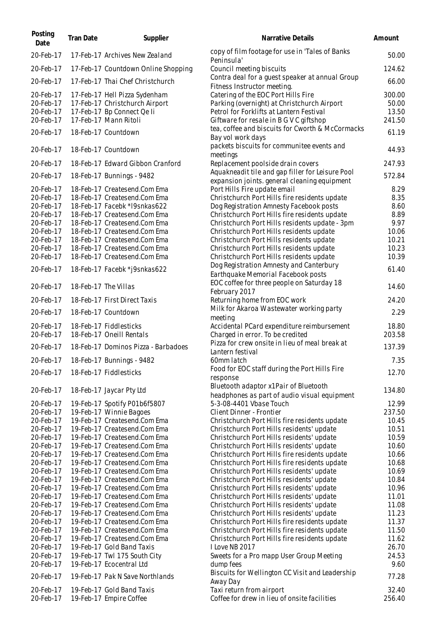| Posting<br>Date        | <b>Tran Date</b>     | Supplier                                                     | Narrative Details                                                                                | Amount         |
|------------------------|----------------------|--------------------------------------------------------------|--------------------------------------------------------------------------------------------------|----------------|
| 20-Feb-17              |                      | 17-Feb-17 Archives New Zealand                               | copy of film footage for use in 'Tales of Banks<br>Peninsula'                                    | 50.00          |
| 20-Feb-17              |                      | 17-Feb-17 Countdown Online Shopping                          | Council meeting biscuits                                                                         | 124.62         |
| 20-Feb-17              |                      | 17-Feb-17 Thai Chef Christchurch                             | Contra deal for a guest speaker at annual Group<br>Fitness Instructor meeting.                   | 66.00          |
| 20-Feb-17              |                      | 17-Feb-17 Hell Pizza Sydenham                                | Catering of the EOC Port Hills Fire                                                              | 300.00         |
| 20-Feb-17              |                      | 17-Feb-17 Christchurch Airport                               | Parking (overnight) at Christchurch Airport                                                      | 50.00          |
| 20-Feb-17              |                      | 17-Feb-17 Bp Connect Qe li                                   | Petrol for Forklifts at Lantern Festival                                                         | 13.50          |
| 20-Feb-17              |                      | 17-Feb-17 Mann Ritoli                                        | Giftware for resale in B G V C giftshop<br>tea, coffee and biscuits for Cworth & McCormacks      | 241.50         |
| 20-Feb-17              |                      | 18-Feb-17 Countdown                                          | Bay vol work days                                                                                | 61.19          |
| 20-Feb-17              |                      | 18-Feb-17 Countdown                                          | packets biscuits for communitee events and<br>meetings                                           | 44.93          |
| 20-Feb-17              |                      | 18-Feb-17 Edward Gibbon Cranford                             | Replacement poolside drain covers                                                                | 247.93         |
| 20-Feb-17              |                      | 18-Feb-17 Bunnings - 9482                                    | Aquakneadit tile and gap filler for Leisure Pool<br>expansion joints. general cleaning equipment | 572.84         |
| 20-Feb-17              |                      | 18-Feb-17 Createsend.Com Ema                                 | Port Hills Fire update email                                                                     | 8.29           |
| 20-Feb-17              |                      | 18-Feb-17 Createsend.Com Ema                                 | Christchurch Port Hills fire residents update                                                    | 8.35           |
| 20-Feb-17              |                      | 18-Feb-17 Facebk *I9snkas622                                 | Dog Registration Amnesty Facebook posts                                                          | 8.60           |
| 20-Feb-17              |                      | 18-Feb-17 Createsend.Com Ema                                 | Christchurch Port Hills fire residents update                                                    | 8.89           |
| 20-Feb-17              |                      | 18-Feb-17 Createsend.Com Ema                                 | Christchurch Port Hills residents update - 3pm                                                   | 9.97           |
| 20-Feb-17              |                      | 18-Feb-17 Createsend.Com Ema                                 | Christchurch Port Hills residents update                                                         | 10.06          |
| 20-Feb-17              |                      | 18-Feb-17 Createsend.Com Ema                                 | Christchurch Port Hills residents update                                                         | 10.21          |
| 20-Feb-17<br>20-Feb-17 |                      | 18-Feb-17 Createsend.Com Ema<br>18-Feb-17 Createsend.Com Ema | Christchurch Port Hills residents update                                                         | 10.23<br>10.39 |
|                        |                      |                                                              | Christchurch Port Hills residents update<br>Dog Registration Amnesty and Canterbury              |                |
| 20-Feb-17              |                      | 18-Feb-17 Facebk *j9snkas622                                 | Earthquake Memorial Facebook posts                                                               | 61.40          |
| 20-Feb-17              | 18-Feb-17 The Villas |                                                              | EOC coffee for three people on Saturday 18<br>February 2017                                      | 14.60          |
| 20-Feb-17              |                      | 18-Feb-17 First Direct Taxis                                 | Returning home from EOC work                                                                     | 24.20          |
| 20-Feb-17              |                      | 18-Feb-17 Countdown                                          | Milk for Akaroa Wastewater working party<br>meeting                                              | 2.29           |
| 20-Feb-17              |                      | 18-Feb-17 Fiddlesticks                                       | Accidental PCard expenditure reimbursement                                                       | 18.80          |
| 20-Feb-17              |                      | 18-Feb-17 Oneill Rentals                                     | Charged in error. To be credited                                                                 | 203.58         |
| 20-Feb-17              |                      | 18-Feb-17 Dominos Pizza - Barbadoes                          | Pizza for crew onsite in lieu of meal break at<br>Lantern festival                               | 137.39         |
| 20-Feb-17              |                      | 18-Feb-17 Bunnings - 9482                                    | 60mm latch                                                                                       | 7.35           |
| 20-Feb-17              |                      | 18-Feb-17 Fiddlesticks                                       | Food for EOC staff during the Port Hills Fire<br>response                                        | 12.70          |
| 20-Feb-17              |                      | 18-Feb-17 Jaycar Pty Ltd                                     | Bluetooth adaptor x1Pair of Bluetooth<br>headphones as part of audio visual equipment            | 134.80         |
| 20-Feb-17              |                      | 19-Feb-17 Spotify P01b6f5807                                 | 5-3-08-4401 Vbase Touch                                                                          | 12.99          |
| 20-Feb-17              |                      | 19-Feb-17 Winnie Bagoes                                      | Client Dinner - Frontier                                                                         | 237.50         |
| 20-Feb-17              |                      | 19-Feb-17 Createsend.Com Ema                                 | Christchurch Port Hills fire residents update                                                    | 10.45          |
| 20-Feb-17              |                      | 19-Feb-17 Createsend.Com Ema                                 | Christchurch Port Hills residents' update                                                        | 10.51          |
| 20-Feb-17              |                      | 19-Feb-17 Createsend.Com Ema                                 | Christchurch Port Hills residents' update                                                        | 10.59          |
| 20-Feb-17              |                      | 19-Feb-17 Createsend.Com Ema                                 | Christchurch Port Hills residents' update                                                        | 10.60          |
| 20-Feb-17<br>20-Feb-17 |                      | 19-Feb-17 Createsend.Com Ema<br>19-Feb-17 Createsend.Com Ema | Christchurch Port Hills fire residents update<br>Christchurch Port Hills fire residents update   | 10.66<br>10.68 |
| 20-Feb-17              |                      | 19-Feb-17 Createsend.Com Ema                                 | Christchurch Port Hills residents' update                                                        | 10.69          |
| 20-Feb-17              |                      | 19-Feb-17 Createsend.Com Ema                                 | Christchurch Port Hills residents' update                                                        | 10.84          |
| 20-Feb-17              |                      | 19-Feb-17 Createsend.Com Ema                                 | Christchurch Port Hills residents' update                                                        | 10.96          |
| 20-Feb-17              |                      | 19-Feb-17 Createsend.Com Ema                                 | Christchurch Port Hills residents' update                                                        | 11.01          |
| 20-Feb-17              |                      | 19-Feb-17 Createsend.Com Ema                                 | Christchurch Port Hills residents' update                                                        | 11.08          |
| 20-Feb-17              |                      | 19-Feb-17 Createsend.Com Ema                                 | Christchurch Port Hills residents' update                                                        | 11.23          |
| 20-Feb-17              |                      | 19-Feb-17 Createsend.Com Ema                                 | Christchurch Port Hills fire residents update                                                    | 11.37          |
| 20-Feb-17              |                      | 19-Feb-17 Createsend.Com Ema                                 | Christchurch Port Hills fire residents update                                                    | 11.50          |
| 20-Feb-17              |                      | 19-Feb-17 Createsend.Com Ema                                 | Christchurch Port Hills fire residents update                                                    | 11.62          |
| 20-Feb-17              |                      | 19-Feb-17 Gold Band Taxis                                    | I Love NB 2017                                                                                   | 26.70          |
| 20-Feb-17              |                      | 19-Feb-17 Twl 175 South City                                 | Sweets for a Pro mapp User Group Meeting                                                         | 24.53          |
| 20-Feb-17<br>20-Feb-17 |                      | 19-Feb-17 Ecocentral Ltd<br>19-Feb-17 Pak N Save Northlands  | dump fees<br>Biscuits for Wellington CC Visit and Leadership                                     | 9.60<br>77.28  |
| 20-Feb-17              |                      | 19-Feb-17 Gold Band Taxis                                    | Away Day<br>Taxi return from airport                                                             | 32.40          |
| 20-Feb-17              |                      | 19-Feb-17 Empire Coffee                                      | Coffee for drew in lieu of onsite facilities                                                     | 256.40         |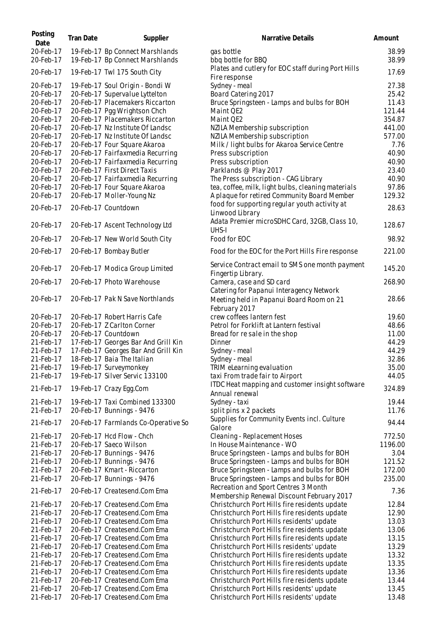| Posting<br>Date        | Tran Date | Supplier                                                           | Narrative Details                                                                                     | Amount         |
|------------------------|-----------|--------------------------------------------------------------------|-------------------------------------------------------------------------------------------------------|----------------|
| 20-Feb-17<br>20-Feb-17 |           | 19-Feb-17 Bp Connect Marshlands<br>19-Feb-17 Bp Connect Marshlands | gas bottle<br>bbq bottle for BBQ                                                                      | 38.99<br>38.99 |
| 20-Feb-17              |           | 19-Feb-17 Twl 175 South City                                       | Plates and cutlery for EOC staff during Port Hills<br>Fire response                                   | 17.69          |
| 20-Feb-17              |           | 19-Feb-17 Soul Origin - Bondi W                                    | Sydney - meal                                                                                         | 27.38          |
| 20-Feb-17              |           | 20-Feb-17 Supervalue Lyttelton                                     | Board Catering 2017                                                                                   | 25.42          |
| 20-Feb-17              |           | 20-Feb-17 Placemakers Riccarton                                    | Bruce Springsteen - Lamps and bulbs for BOH                                                           | 11.43          |
| 20-Feb-17              |           | 20-Feb-17 Pgg Wrightson Chch                                       | Maint QE2                                                                                             | 121.44         |
| 20-Feb-17              |           | 20-Feb-17 Placemakers Riccarton                                    | Maint QE2                                                                                             | 354.87         |
| 20-Feb-17              |           | 20-Feb-17 Nz Institute Of Landsc                                   | NZILA Membership subscription                                                                         | 441.00         |
| 20-Feb-17              |           | 20-Feb-17 Nz Institute Of Landsc                                   | NZILA Membership subscription                                                                         | 577.00         |
| 20-Feb-17<br>20-Feb-17 |           | 20-Feb-17 Four Square Akaroa<br>20-Feb-17 Fairfaxmedia Recurring   | Milk / light bulbs for Akaroa Service Centre<br>Press subscription                                    | 7.76<br>40.90  |
| 20-Feb-17              |           | 20-Feb-17 Fairfaxmedia Recurring                                   | Press subscription                                                                                    | 40.90          |
| 20-Feb-17              |           | 20-Feb-17 First Direct Taxis                                       | Parklands @ Play 2017                                                                                 | 23.40          |
| 20-Feb-17              |           | 20-Feb-17 Fairfaxmedia Recurring                                   | The Press subscription - CAG Library                                                                  | 40.90          |
| 20-Feb-17              |           | 20-Feb-17 Four Square Akaroa                                       | tea, coffee, milk, light bulbs, cleaning materials                                                    | 97.86          |
| 20-Feb-17              |           | 20-Feb-17 Moller-Young Nz                                          | A plaque for retired Community Board Member                                                           | 129.32         |
| 20-Feb-17              |           | 20-Feb-17 Countdown                                                | food for supporting regular youth activity at<br>Linwood Library                                      | 28.63          |
| 20-Feb-17              |           | 20-Feb-17 Ascent Technology Ltd                                    | Adata Premier microSDHC Card, 32GB, Class 10,<br>UHS-I                                                | 128.67         |
| 20-Feb-17              |           | 20-Feb-17 New World South City                                     | Food for EOC                                                                                          | 98.92          |
| 20-Feb-17              |           | 20-Feb-17 Bombay Butler                                            | Food for the EOC for the Port Hills Fire response                                                     | 221.00         |
| 20-Feb-17              |           | 20-Feb-17 Modica Group Limited                                     | Service Contract email to SMS one month payment<br>Fingertip Library.                                 | 145.20         |
| 20-Feb-17              |           | 20-Feb-17 Photo Warehouse                                          | Camera, case and SD card                                                                              | 268.90         |
| 20-Feb-17              |           | 20-Feb-17 Pak N Save Northlands                                    | Catering for Papanui Interagency Network<br>Meeting held in Papanui Board Room on 21<br>February 2017 | 28.66          |
| 20-Feb-17              |           | 20-Feb-17 Robert Harris Cafe                                       | crew coffees lantern fest                                                                             | 19.60          |
| 20-Feb-17              |           | 20-Feb-17 Z Carlton Corner                                         | Petrol for Forklift at Lantern festival                                                               | 48.66          |
| 20-Feb-17              |           | 20-Feb-17 Countdown                                                | Bread for re sale in the shop                                                                         | 11.00          |
| 21-Feb-17              |           | 17-Feb-17 Georges Bar And Grill Kin                                | Dinner                                                                                                | 44.29          |
| 21-Feb-17              |           | 17-Feb-17 Georges Bar And Grill Kin                                | Sydney - meal                                                                                         | 44.29          |
| 21-Feb-17              |           | 18-Feb-17 Baia The Italian                                         | Sydney - meal                                                                                         | 32.86          |
| 21-Feb-17              |           | 19-Feb-17 Surveymonkey<br>19-Feb-17 Silver Servic 133100           | TRIM eLearning evaluation                                                                             | 35.00<br>44.05 |
| 21-Feb-17              |           |                                                                    | taxi From trade fair to Airport<br>ITDC Heat mapping and customer insight software                    |                |
| 21-Feb-17              |           | 19-Feb-17 Crazy Egg.Com                                            | Annual renewal                                                                                        | 324.89         |
| 21-Feb-17              |           | 19-Feb-17 Taxi Combined 133300                                     | Sydney - taxi                                                                                         | 19.44          |
| 21-Feb-17              |           | 20-Feb-17 Bunnings - 9476                                          | split pins x 2 packets                                                                                | 11.76          |
| 21-Feb-17              |           | 20-Feb-17 Farmlands Co-Operative So                                | Supplies for Community Events incl. Culture<br>Galore                                                 | 94.44          |
| 21-Feb-17              |           | 20-Feb-17 Hcd Flow - Chch                                          | Cleaning - Replacement Hoses                                                                          | 772.50         |
| 21-Feb-17              |           | 20-Feb-17 Saeco Wilson                                             | In House Maintenance - WO                                                                             | 1196.00        |
| 21-Feb-17              |           | 20-Feb-17 Bunnings - 9476                                          | Bruce Springsteen - Lamps and bulbs for BOH                                                           | 3.04           |
| 21-Feb-17              |           | 20-Feb-17 Bunnings - 9476                                          | Bruce Springsteen - Lamps and bulbs for BOH                                                           | 121.52         |
| 21-Feb-17              |           | 20-Feb-17 Kmart - Riccarton                                        | Bruce Springsteen - Lamps and bulbs for BOH                                                           | 172.00         |
| 21-Feb-17              |           | 20-Feb-17 Bunnings - 9476                                          | Bruce Springsteen - Lamps and bulbs for BOH                                                           | 235.00         |
| 21-Feb-17              |           | 20-Feb-17 Createsend.Com Ema                                       | Recreation and Sport Centres 3 Month<br>Membership Renewal Discount February 2017                     | 7.36           |
| 21-Feb-17              |           | 20-Feb-17 Createsend.Com Ema                                       | Christchurch Port Hills fire residents update                                                         | 12.84          |
| 21-Feb-17              |           | 20-Feb-17 Createsend.Com Ema                                       | Christchurch Port Hills fire residents update                                                         | 12.90          |
| 21-Feb-17              |           | 20-Feb-17 Createsend.Com Ema                                       | Christchurch Port Hills residents' update                                                             | 13.03          |
| 21-Feb-17              |           | 20-Feb-17 Createsend.Com Ema                                       | Christchurch Port Hills fire residents update                                                         | 13.06          |
| 21-Feb-17              |           | 20-Feb-17 Createsend.Com Ema                                       | Christchurch Port Hills fire residents update                                                         | 13.15          |
| 21-Feb-17              |           | 20-Feb-17 Createsend.Com Ema                                       | Christchurch Port Hills residents' update                                                             | 13.29          |
| 21-Feb-17              |           | 20-Feb-17 Createsend.Com Ema                                       | Christchurch Port Hills fire residents update                                                         | 13.32          |
| 21-Feb-17              |           | 20-Feb-17 Createsend.Com Ema<br>20-Feb-17 Createsend.Com Ema       | Christchurch Port Hills fire residents update                                                         | 13.35          |
| 21-Feb-17<br>21-Feb-17 |           | 20-Feb-17 Createsend.Com Ema                                       | Christchurch Port Hills fire residents update<br>Christchurch Port Hills fire residents update        | 13.36<br>13.44 |
| 21-Feb-17              |           | 20-Feb-17 Createsend.Com Ema                                       | Christchurch Port Hills residents' update                                                             | 13.45          |
| 21-Feb-17              |           | 20-Feb-17 Createsend.Com Ema                                       | Christchurch Port Hills residents' update                                                             | 13.48          |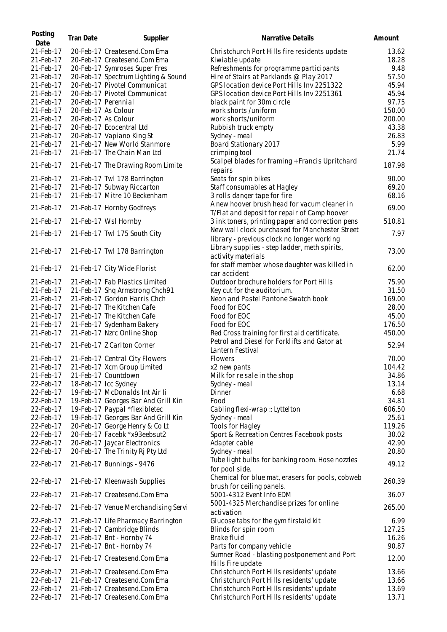| Posting<br>Date | Tran Date | Supplier                                                       | Narrative Details                                                                            | Amount |
|-----------------|-----------|----------------------------------------------------------------|----------------------------------------------------------------------------------------------|--------|
| 21-Feb-17       |           | 20-Feb-17 Createsend.Com Ema                                   | Christchurch Port Hills fire residents update                                                | 13.62  |
| 21-Feb-17       |           | 20-Feb-17 Createsend.Com Ema                                   | Kiwiable update                                                                              | 18.28  |
| 21-Feb-17       |           | 20-Feb-17 Symroses Super Fres                                  | Refreshments for programme participants                                                      | 9.48   |
| 21-Feb-17       |           | 20-Feb-17 Spectrum Lighting & Sound                            | Hire of Stairs at Parklands @ Play 2017                                                      | 57.50  |
| 21-Feb-17       |           | 20-Feb-17 Pivotel Communicat                                   | GPS location device Port Hills Inv 2251322                                                   | 45.94  |
| 21-Feb-17       |           | 20-Feb-17 Pivotel Communicat                                   | GPS location device Port Hills Inv 2251361                                                   | 45.94  |
| 21-Feb-17       |           | 20-Feb-17 Perennial                                            | black paint for 30m circle                                                                   | 97.75  |
| 21-Feb-17       |           | 20-Feb-17 As Colour                                            | work shorts /uniform                                                                         | 150.00 |
| 21-Feb-17       |           | 20-Feb-17 As Colour                                            | work shorts/uniform                                                                          | 200.00 |
| 21-Feb-17       |           | 20-Feb-17 Ecocentral Ltd                                       | Rubbish truck empty                                                                          | 43.38  |
| 21-Feb-17       |           | 20-Feb-17 Vapiano King St                                      | Sydney - meal                                                                                | 26.83  |
| 21-Feb-17       |           | 21-Feb-17 New World Stanmore                                   | Board Stationary 2017                                                                        | 5.99   |
| 21-Feb-17       |           | 21-Feb-17 The Chain Man Ltd                                    | crimping tool                                                                                | 21.74  |
|                 |           |                                                                | Scalpel blades for framing + Francis Upritchard                                              |        |
| 21-Feb-17       |           | 21-Feb-17 The Drawing Room Limite                              | repairs                                                                                      | 187.98 |
| 21-Feb-17       |           | 21-Feb-17 Twl 178 Barrington                                   | Seats for spin bikes                                                                         | 90.00  |
| 21-Feb-17       |           | 21-Feb-17 Subway Riccarton                                     | Staff consumables at Hagley                                                                  | 69.20  |
| 21-Feb-17       |           | 21-Feb-17 Mitre 10 Beckenham                                   | 3 rolls danger tape for fire                                                                 | 68.16  |
| 21-Feb-17       |           | 21-Feb-17 Hornby Godfreys                                      | A new hoover brush head for vacum cleaner in                                                 | 69.00  |
|                 |           |                                                                | T/Flat and deposit for repair of Camp hoover                                                 |        |
| 21-Feb-17       |           | 21-Feb-17 Wsl Hornby                                           | 3 ink toners, printing paper and correction pens                                             | 510.81 |
| 21-Feb-17       |           | 21-Feb-17 Twl 175 South City                                   | New wall clock purchased for Manchester Street<br>library - previous clock no longer working | 7.97   |
| 21-Feb-17       |           | 21-Feb-17 Twl 178 Barrington                                   | Library supplies - step ladder, meth spirits,<br>activity materials                          | 73.00  |
| 21-Feb-17       |           | 21-Feb-17 City Wide Florist                                    | for staff member whose daughter was killed in<br>car accident                                | 62.00  |
| 21-Feb-17       |           | 21-Feb-17 Fab Plastics Limited                                 | Outdoor brochure holders for Port Hills                                                      | 75.90  |
| 21-Feb-17       |           | 21-Feb-17 Shq Armstrong Chch91                                 | Key cut for the auditorium.                                                                  | 31.50  |
|                 |           |                                                                |                                                                                              | 169.00 |
| 21-Feb-17       |           | 21-Feb-17 Gordon Harris Chch                                   | Neon and Pastel Pantone Swatch book                                                          |        |
| 21-Feb-17       |           | 21-Feb-17 The Kitchen Cafe                                     | Food for EOC                                                                                 | 28.00  |
| 21-Feb-17       |           | 21-Feb-17 The Kitchen Cafe                                     | Food for EOC                                                                                 | 45.00  |
| 21-Feb-17       |           | 21-Feb-17 Sydenham Bakery                                      | Food for EOC                                                                                 | 176.50 |
| 21-Feb-17       |           | 21-Feb-17 Nzrc Online Shop                                     | Red Cross training for first aid certificate.                                                | 450.00 |
| 21-Feb-17       |           | 21-Feb-17 Z Carlton Corner                                     | Petrol and Diesel for Forklifts and Gator at<br>Lantern Festival                             | 52.94  |
| 21-Feb-17       |           | 21-Feb-17 Central City Flowers                                 | <b>Flowers</b>                                                                               | 70.00  |
| 21-Feb-17       |           | 21-Feb-17 Xcm Group Limited                                    | x2 new pants                                                                                 | 104.42 |
| 21-Feb-17       |           | 21-Feb-17 Countdown                                            | Milk for resale in the shop                                                                  | 34.86  |
| 22-Feb-17       |           | 18-Feb-17 Icc Sydney                                           | Sydney - meal                                                                                | 13.14  |
| 22-Feb-17       |           | 19-Feb-17 McDonalds Int Air li                                 | Dinner                                                                                       | 6.68   |
| 22-Feb-17       |           | 19-Feb-17 Georges Bar And Grill Kin                            | Food                                                                                         | 34.81  |
| 22-Feb-17       |           | 19-Feb-17 Paypal *flexibletec                                  | Cabling flexi-wrap :: Lyttelton                                                              | 606.50 |
| 22-Feb-17       |           | 19-Feb-17 Georges Bar And Grill Kin                            | Sydney - meal                                                                                | 25.61  |
| 22-Feb-17       |           |                                                                |                                                                                              | 119.26 |
|                 |           | 20-Feb-17 George Henry & Co Lt<br>20-Feb-17 Facebk *x93eebsut2 | <b>Tools for Hagley</b>                                                                      |        |
| 22-Feb-17       |           |                                                                | Sport & Recreation Centres Facebook posts                                                    | 30.02  |
| 22-Feb-17       |           | 20-Feb-17 Jaycar Electronics                                   | Adapter cable                                                                                | 42.90  |
| 22-Feb-17       |           | 20-Feb-17 The Trinity Ri Pty Ltd                               | Sydney - meal                                                                                | 20.80  |
| 22-Feb-17       |           | 21-Feb-17 Bunnings - 9476                                      | Tube light bulbs for banking room. Hose nozzles<br>for pool side.                            | 49.12  |
| 22-Feb-17       |           | 21-Feb-17 Kleenwash Supplies                                   | Chemical for blue mat, erasers for pools, cobweb<br>brush for ceiling panels.                | 260.39 |
| 22-Feb-17       |           | 21-Feb-17 Createsend.Com Ema                                   | 5001-4312 Event Info EDM                                                                     | 36.07  |
| 22-Feb-17       |           | 21-Feb-17 Venue Merchandising Servi                            | 5001-4325 Merchandise prizes for online<br>activation                                        | 265.00 |
| 22-Feb-17       |           | 21-Feb-17 Life Pharmacy Barrington                             | Glucose tabs for the gym firstaid kit                                                        | 6.99   |
| 22-Feb-17       |           | 21-Feb-17 Cambridge Blinds                                     | Blinds for spin room                                                                         | 127.25 |
| 22-Feb-17       |           | 21-Feb-17 Bnt - Hornby 74                                      | Brake fluid                                                                                  | 16.26  |
| 22-Feb-17       |           | 21-Feb-17 Bnt - Hornby 74                                      | Parts for company vehicle                                                                    | 90.87  |
|                 |           |                                                                | Sumner Road - blasting postponement and Port                                                 |        |
| 22-Feb-17       |           | 21-Feb-17 Createsend.Com Ema                                   | Hills Fire update                                                                            | 12.00  |
| 22-Feb-17       |           | 21-Feb-17 Createsend.Com Ema                                   | Christchurch Port Hills residents' update                                                    | 13.66  |
| 22-Feb-17       |           | 21-Feb-17 Createsend.Com Ema                                   | Christchurch Port Hills residents' update                                                    | 13.66  |
| 22-Feb-17       |           | 21-Feb-17 Createsend.Com Ema                                   | Christchurch Port Hills residents' update                                                    | 13.69  |
| 22-Feb-17       |           | 21-Feb-17 Createsend.Com Ema                                   | Christchurch Port Hills residents' update                                                    | 13.71  |